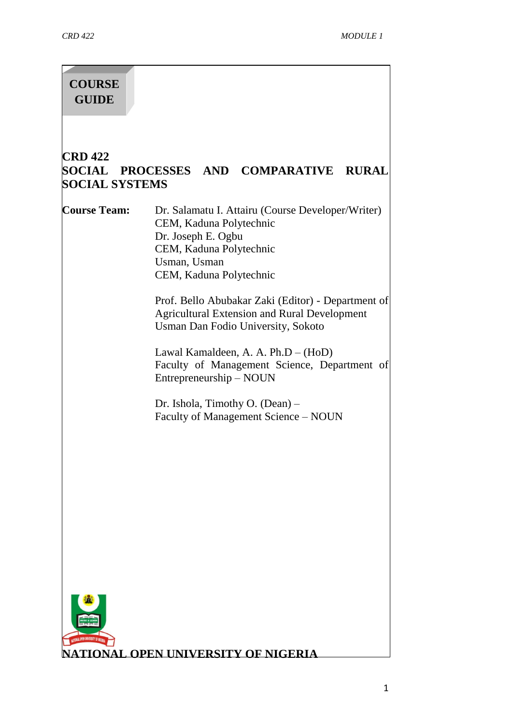# **COURSE GUIDE**

# **CRD 422 SOCIAL PROCESSES AND COMPARATIVE RURAL SOCIAL SYSTEMS**

**Course Team:** Dr. Salamatu I. Attairu (Course Developer/Writer) CEM, Kaduna Polytechnic Dr. Joseph E. Ogbu CEM, Kaduna Polytechnic Usman, Usman CEM, Kaduna Polytechnic

> Prof. Bello Abubakar Zaki (Editor) - Department of Agricultural Extension and Rural Development Usman Dan Fodio University, Sokoto

> Lawal Kamaldeen, A. A. Ph.D – (HoD) Faculty of Management Science, Department of Entrepreneurship – NOUN

Dr. Ishola, Timothy O. (Dean) – Faculty of Management Science – NOUN

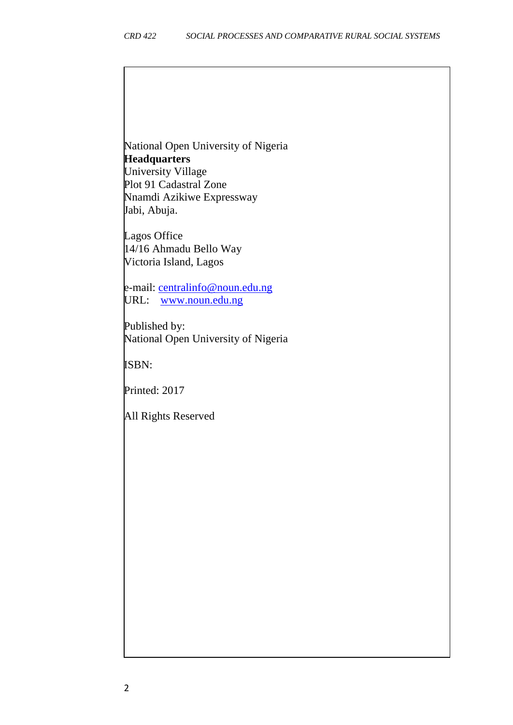National Open University of Nigeria **Headquarters** University Village Plot 91 Cadastral Zone Nnamdi Azikiwe Expressway

Lagos Office 14/16 Ahmadu Bello Way Victoria Island, Lagos

Jabi, Abuja.

e-mail: [centralinfo@noun.edu.ng](mailto:centralinfo@noun.edu.ng) URL: [www.noun.edu.ng](http://www.noun.edu.ng/)

Published by: National Open University of Nigeria

ISBN:

Printed: 2017

All Rights Reserved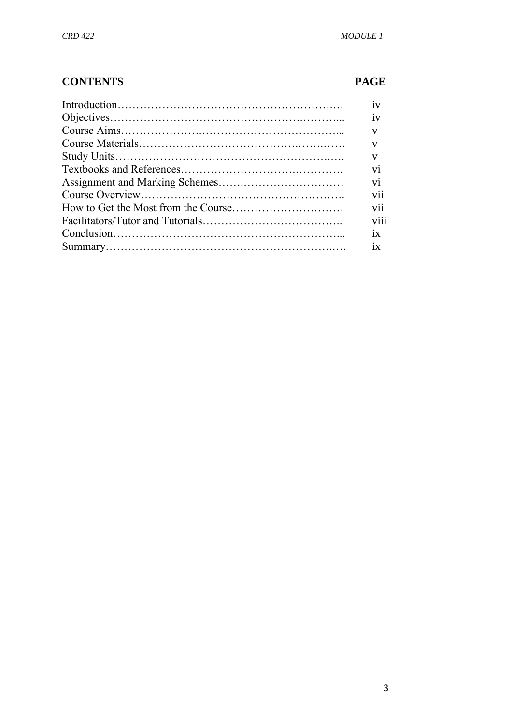#### **CONTENTS PAGE**

| 1V                   |
|----------------------|
| iv                   |
| $\mathbf{V}$         |
| $\mathbf{V}$         |
| V                    |
| vi                   |
| vi                   |
| V11                  |
| $\cdot \cdot$<br>V11 |
| $\cdots$<br>V111     |
| 1X                   |
| 1X                   |
|                      |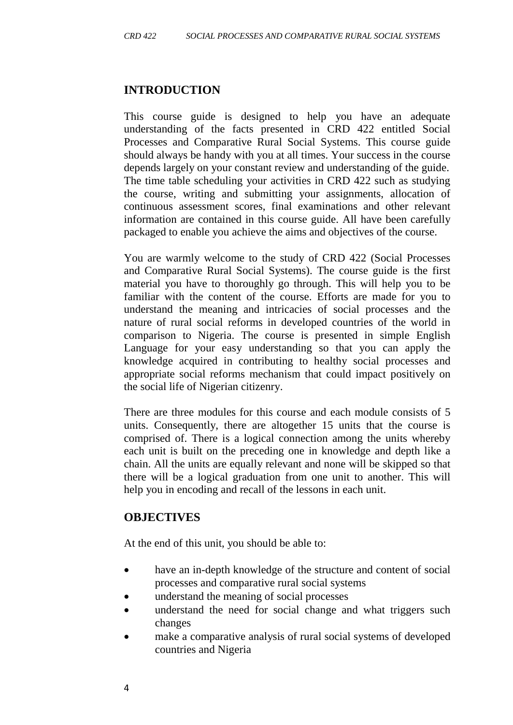#### **INTRODUCTION**

This course guide is designed to help you have an adequate understanding of the facts presented in CRD 422 entitled Social Processes and Comparative Rural Social Systems. This course guide should always be handy with you at all times. Your success in the course depends largely on your constant review and understanding of the guide. The time table scheduling your activities in CRD 422 such as studying the course, writing and submitting your assignments, allocation of continuous assessment scores, final examinations and other relevant information are contained in this course guide. All have been carefully packaged to enable you achieve the aims and objectives of the course.

You are warmly welcome to the study of CRD 422 (Social Processes and Comparative Rural Social Systems). The course guide is the first material you have to thoroughly go through. This will help you to be familiar with the content of the course. Efforts are made for you to understand the meaning and intricacies of social processes and the nature of rural social reforms in developed countries of the world in comparison to Nigeria. The course is presented in simple English Language for your easy understanding so that you can apply the knowledge acquired in contributing to healthy social processes and appropriate social reforms mechanism that could impact positively on the social life of Nigerian citizenry.

There are three modules for this course and each module consists of 5 units. Consequently, there are altogether 15 units that the course is comprised of. There is a logical connection among the units whereby each unit is built on the preceding one in knowledge and depth like a chain. All the units are equally relevant and none will be skipped so that there will be a logical graduation from one unit to another. This will help you in encoding and recall of the lessons in each unit.

#### **OBJECTIVES**

At the end of this unit, you should be able to:

- have an in-depth knowledge of the structure and content of social processes and comparative rural social systems
- understand the meaning of social processes
- understand the need for social change and what triggers such changes
- make a comparative analysis of rural social systems of developed countries and Nigeria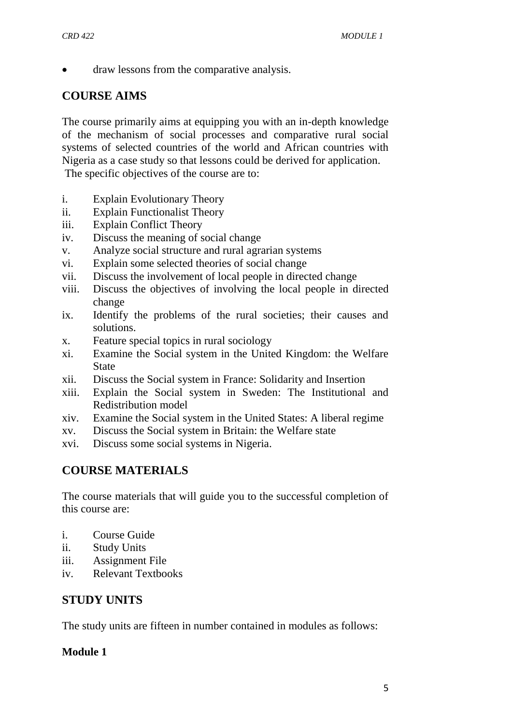draw lessons from the comparative analysis.

# **COURSE AIMS**

The course primarily aims at equipping you with an in-depth knowledge of the mechanism of social processes and comparative rural social systems of selected countries of the world and African countries with Nigeria as a case study so that lessons could be derived for application. The specific objectives of the course are to:

- i. Explain Evolutionary Theory
- ii. Explain Functionalist Theory
- iii. Explain Conflict Theory
- iv. Discuss the meaning of social change
- v. Analyze social structure and rural agrarian systems
- vi. Explain some selected theories of social change
- vii. Discuss the involvement of local people in directed change
- viii. Discuss the objectives of involving the local people in directed change
- ix. Identify the problems of the rural societies; their causes and solutions.
- x. Feature special topics in rural sociology
- xi. Examine the Social system in the United Kingdom: the Welfare State
- xii. Discuss the Social system in France: Solidarity and Insertion
- xiii. Explain the Social system in Sweden: The Institutional and Redistribution model
- xiv. Examine the Social system in the United States: A liberal regime
- xv. Discuss the Social system in Britain: the Welfare state
- xvi. Discuss some social systems in Nigeria.

# **COURSE MATERIALS**

The course materials that will guide you to the successful completion of this course are:

- i. Course Guide
- ii. Study Units
- iii. Assignment File
- iv. Relevant Textbooks

# **STUDY UNITS**

The study units are fifteen in number contained in modules as follows:

#### **Module 1**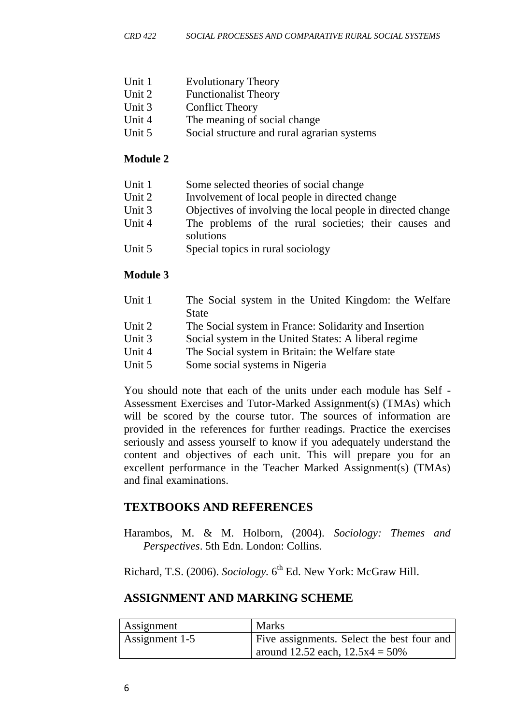- Unit 1 Evolutionary Theory
- Unit 2 Functionalist Theory
- Unit 3 Conflict Theory
- Unit 4 The meaning of social change
- Unit 5 Social structure and rural agrarian systems

#### **Module 2**

| Unit 1 | Some selected theories of social change                            |
|--------|--------------------------------------------------------------------|
| Unit 2 | Involvement of local people in directed change                     |
| Unit 3 | Objectives of involving the local people in directed change        |
| Unit 4 | The problems of the rural societies; their causes and<br>solutions |
| Unit 5 | Special topics in rural sociology                                  |

#### **Module 3**

| Unit 1        | The Social system in the United Kingdom: the Welfare                                 |
|---------------|--------------------------------------------------------------------------------------|
|               | <b>State</b>                                                                         |
| <b>TT</b> . A | $\sim$ 1.1 $\sim$<br>$\mathbf{m}$ $\alpha$ $\cdot$ $\mathbf{1}$ $\cdot$ $\mathbf{m}$ |

- Unit 2 The Social system in France: Solidarity and Insertion
- Unit 3 Social system in the United States: A liberal regime
- Unit 4 The Social system in Britain: the Welfare state
- Unit 5 Some social systems in Nigeria

You should note that each of the units under each module has Self - Assessment Exercises and Tutor-Marked Assignment(s) (TMAs) which will be scored by the course tutor. The sources of information are provided in the references for further readings. Practice the exercises seriously and assess yourself to know if you adequately understand the content and objectives of each unit. This will prepare you for an excellent performance in the Teacher Marked Assignment(s) (TMAs) and final examinations.

## **TEXTBOOKS AND REFERENCES**

Harambos, M. & M. Holborn, (2004). *Sociology: Themes and Perspectives*. 5th Edn. London: Collins.

Richard, T.S. (2006). *Sociology*. 6<sup>th</sup> Ed. New York: McGraw Hill.

# **ASSIGNMENT AND MARKING SCHEME**

| <b>Assignment</b> | Marks                                      |
|-------------------|--------------------------------------------|
| Assignment 1-5    | Five assignments. Select the best four and |
|                   | around 12.52 each, $12.5x4 = 50\%$         |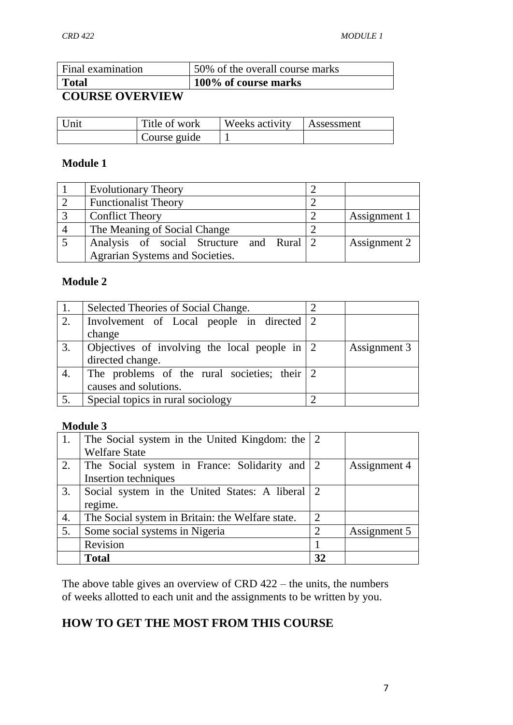| Final examination | 50% of the overall course marks |
|-------------------|---------------------------------|
| Total             | 100% of course marks            |
| COUDER OVERVIEW   |                                 |

#### **COURSE OVERVIEW**

| Unit | Title of work | Weeks activity | Assessment |
|------|---------------|----------------|------------|
|      | Course guide  |                |            |

#### **Module 1**

| <b>Evolutionary Theory</b>               |              |
|------------------------------------------|--------------|
| <b>Functionalist Theory</b>              |              |
| <b>Conflict Theory</b>                   | Assignment 1 |
| The Meaning of Social Change             |              |
| Analysis of social Structure and Rural 2 | Assignment 2 |
| Agrarian Systems and Societies.          |              |

#### **Module 2**

|                  | Selected Theories of Social Change.               |              |
|------------------|---------------------------------------------------|--------------|
| 2.               | Involvement of Local people in directed 2         |              |
|                  | change                                            |              |
| 3.               | Objectives of involving the local people in $ 2 $ | Assignment 3 |
|                  | directed change.                                  |              |
| 4.               | The problems of the rural societies; their 2      |              |
|                  | causes and solutions.                             |              |
| $\overline{5}$ . | Special topics in rural sociology                 |              |

#### **Module 3**

| 1. | The Social system in the United Kingdom: the $\vert$ 2 |                             |              |
|----|--------------------------------------------------------|-----------------------------|--------------|
|    | <b>Welfare State</b>                                   |                             |              |
| 2. | The Social system in France: Solidarity and 2          |                             | Assignment 4 |
|    | Insertion techniques                                   |                             |              |
| 3. | Social system in the United States: A liberal 2        |                             |              |
|    | regime.                                                |                             |              |
| 4. | The Social system in Britain: the Welfare state.       | 2                           |              |
| 5. | Some social systems in Nigeria                         | $\mathcal{D}_{\mathcal{L}}$ | Assignment 5 |
|    | Revision                                               |                             |              |
|    | <b>Total</b>                                           | 32                          |              |

The above table gives an overview of CRD 422 – the units, the numbers of weeks allotted to each unit and the assignments to be written by you.

# **HOW TO GET THE MOST FROM THIS COURSE**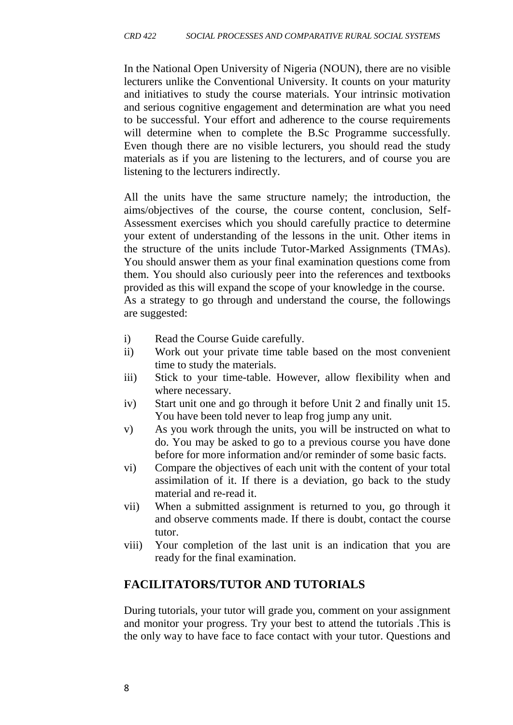In the National Open University of Nigeria (NOUN), there are no visible lecturers unlike the Conventional University. It counts on your maturity and initiatives to study the course materials. Your intrinsic motivation and serious cognitive engagement and determination are what you need to be successful. Your effort and adherence to the course requirements will determine when to complete the B.Sc Programme successfully. Even though there are no visible lecturers, you should read the study materials as if you are listening to the lecturers, and of course you are listening to the lecturers indirectly.

All the units have the same structure namely; the introduction, the aims/objectives of the course, the course content, conclusion, Self-Assessment exercises which you should carefully practice to determine your extent of understanding of the lessons in the unit. Other items in the structure of the units include Tutor-Marked Assignments (TMAs). You should answer them as your final examination questions come from them. You should also curiously peer into the references and textbooks provided as this will expand the scope of your knowledge in the course. As a strategy to go through and understand the course, the followings are suggested:

- i) Read the Course Guide carefully.
- ii) Work out your private time table based on the most convenient time to study the materials.
- iii) Stick to your time-table. However, allow flexibility when and where necessary.
- iv) Start unit one and go through it before Unit 2 and finally unit 15. You have been told never to leap frog jump any unit.
- v) As you work through the units, you will be instructed on what to do. You may be asked to go to a previous course you have done before for more information and/or reminder of some basic facts.
- vi) Compare the objectives of each unit with the content of your total assimilation of it. If there is a deviation, go back to the study material and re-read it.
- vii) When a submitted assignment is returned to you, go through it and observe comments made. If there is doubt, contact the course tutor.
- viii) Your completion of the last unit is an indication that you are ready for the final examination.

## **FACILITATORS/TUTOR AND TUTORIALS**

During tutorials, your tutor will grade you, comment on your assignment and monitor your progress. Try your best to attend the tutorials .This is the only way to have face to face contact with your tutor. Questions and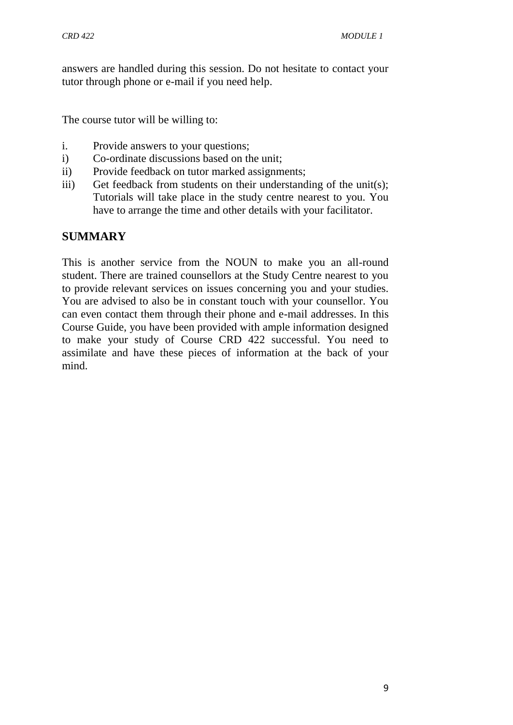answers are handled during this session. Do not hesitate to contact your tutor through phone or e-mail if you need help.

The course tutor will be willing to:

- i. Provide answers to your questions;
- i) Co-ordinate discussions based on the unit;
- ii) Provide feedback on tutor marked assignments;
- iii) Get feedback from students on their understanding of the unit(s); Tutorials will take place in the study centre nearest to you. You have to arrange the time and other details with your facilitator.

#### **SUMMARY**

This is another service from the NOUN to make you an all-round student. There are trained counsellors at the Study Centre nearest to you to provide relevant services on issues concerning you and your studies. You are advised to also be in constant touch with your counsellor. You can even contact them through their phone and e-mail addresses. In this Course Guide, you have been provided with ample information designed to make your study of Course CRD 422 successful. You need to assimilate and have these pieces of information at the back of your mind.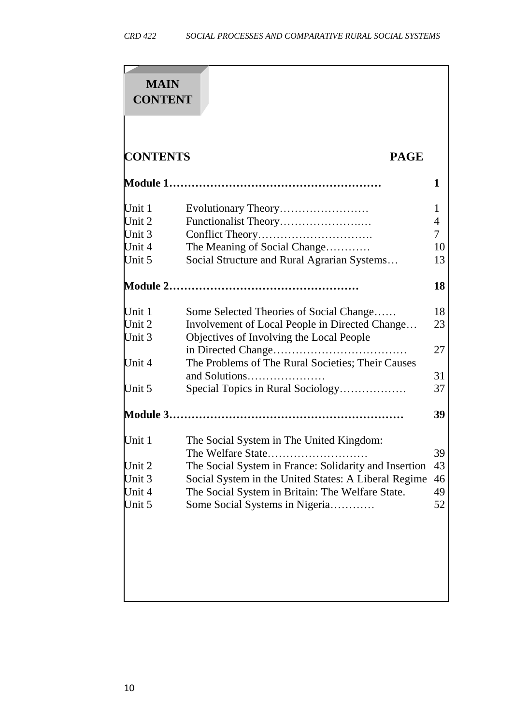| <b>MAIN</b><br><b>CONTENT</b> |                                                                                           |                     |
|-------------------------------|-------------------------------------------------------------------------------------------|---------------------|
| <b>CONTENTS</b>               | <b>PAGE</b>                                                                               |                     |
|                               |                                                                                           | 1                   |
| Unit $1$<br>Unit $2$          |                                                                                           | 1<br>$\overline{4}$ |
| Unit $3$                      |                                                                                           | 7                   |
| Unit 4<br>Unit 5              | The Meaning of Social Change<br>Social Structure and Rural Agrarian Systems               | 10<br>13            |
|                               |                                                                                           | 18                  |
| Unit $1$<br>Unit $2$          | Some Selected Theories of Social Change<br>Involvement of Local People in Directed Change | 18<br>23            |
| Unit 3                        | Objectives of Involving the Local People                                                  | 27                  |
| Unit 4                        | The Problems of The Rural Societies; Their Causes<br>and Solutions                        | 31                  |
| Unit $5$                      | Special Topics in Rural Sociology                                                         | 37                  |
|                               |                                                                                           | 39                  |
| Unit $1$                      | The Social System in The United Kingdom:<br>The Welfare State                             | 39                  |
| Unit $2$                      | The Social System in France: Solidarity and Insertion                                     | 43                  |
| Unit $3$                      | Social System in the United States: A Liberal Regime                                      | 46                  |
| Unit 4<br>Unit 5              | The Social System in Britain: The Welfare State.<br>Some Social Systems in Nigeria        | 49<br>52            |
|                               |                                                                                           |                     |
|                               |                                                                                           |                     |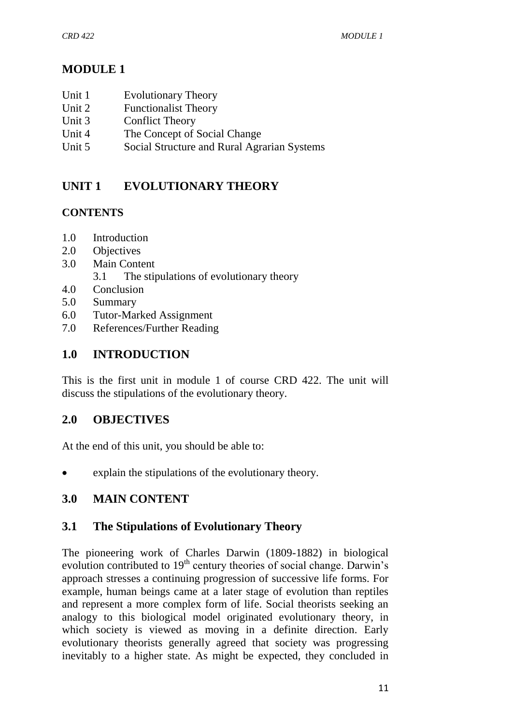# **MODULE 1**

- Unit 1 Evolutionary Theory
- Unit 2 Functionalist Theory
- Unit 3 Conflict Theory
- Unit 4 The Concept of Social Change
- Unit 5 Social Structure and Rural Agrarian Systems

# **UNIT 1 EVOLUTIONARY THEORY**

## **CONTENTS**

- 1.0 Introduction
- 2.0 Objectives
- 3.0 Main Content
	- 3.1 The stipulations of evolutionary theory
- 4.0 Conclusion
- 5.0 Summary
- 6.0 Tutor-Marked Assignment
- 7.0 References/Further Reading

# **1.0 INTRODUCTION**

This is the first unit in module 1 of course CRD 422. The unit will discuss the stipulations of the evolutionary theory.

# **2.0 OBJECTIVES**

At the end of this unit, you should be able to:

explain the stipulations of the evolutionary theory.

# **3.0 MAIN CONTENT**

## **3.1 The Stipulations of Evolutionary Theory**

The pioneering work of Charles Darwin (1809-1882) in biological evolution contributed to 19<sup>th</sup> century theories of social change. Darwin's approach stresses a continuing progression of successive life forms. For example, human beings came at a later stage of evolution than reptiles and represent a more complex form of life. Social theorists seeking an analogy to this biological model originated evolutionary theory, in which society is viewed as moving in a definite direction. Early evolutionary theorists generally agreed that society was progressing inevitably to a higher state. As might be expected, they concluded in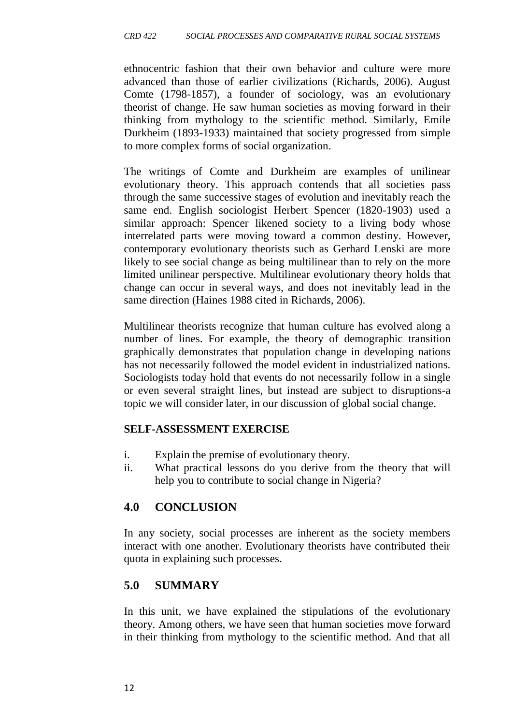ethnocentric fashion that their own behavior and culture were more advanced than those of earlier civilizations (Richards, 2006). August Comte (1798-1857), a founder of sociology, was an evolutionary theorist of change. He saw human societies as moving forward in their thinking from mythology to the scientific method. Similarly, Emile Durkheim (1893-1933) maintained that society progressed from simple to more complex forms of social organization.

The writings of Comte and Durkheim are examples of unilinear evolutionary theory. This approach contends that all societies pass through the same successive stages of evolution and inevitably reach the same end. English sociologist Herbert Spencer (1820-1903) used a similar approach: Spencer likened society to a living body whose interrelated parts were moving toward a common destiny. However, contemporary evolutionary theorists such as Gerhard Lenski are more likely to see social change as being multilinear than to rely on the more limited unilinear perspective. Multilinear evolutionary theory holds that change can occur in several ways, and does not inevitably lead in the same direction (Haines 1988 cited in Richards, 2006).

Multilinear theorists recognize that human culture has evolved along a number of lines. For example, the theory of demographic transition graphically demonstrates that population change in developing nations has not necessarily followed the model evident in industrialized nations. Sociologists today hold that events do not necessarily follow in a single or even several straight lines, but instead are subject to disruptions-a topic we will consider later, in our discussion of global social change.

## **SELF-ASSESSMENT EXERCISE**

- i. Explain the premise of evolutionary theory.
- ii. What practical lessons do you derive from the theory that will help you to contribute to social change in Nigeria?

# **4.0 CONCLUSION**

In any society, social processes are inherent as the society members interact with one another. Evolutionary theorists have contributed their quota in explaining such processes.

# **5.0 SUMMARY**

In this unit, we have explained the stipulations of the evolutionary theory. Among others, we have seen that human societies move forward in their thinking from mythology to the scientific method. And that all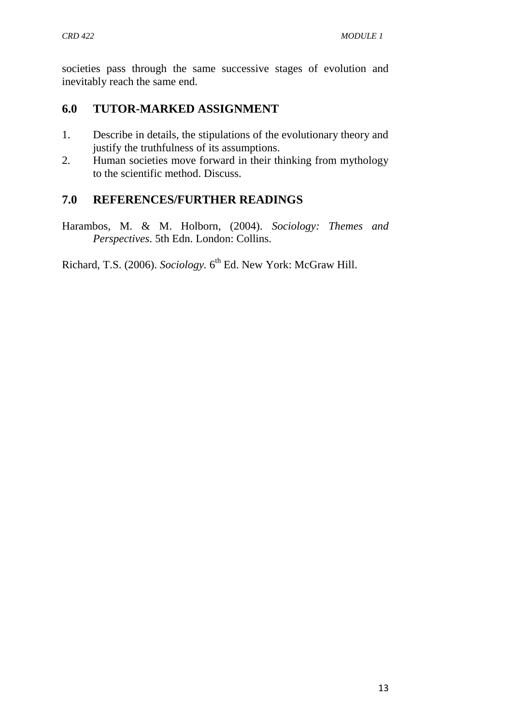societies pass through the same successive stages of evolution and inevitably reach the same end.

# **6.0 TUTOR-MARKED ASSIGNMENT**

- 1. Describe in details, the stipulations of the evolutionary theory and justify the truthfulness of its assumptions.
- 2. Human societies move forward in their thinking from mythology to the scientific method. Discuss.

# **7.0 REFERENCES/FURTHER READINGS**

Harambos, M. & M. Holborn, (2004). *Sociology: Themes and Perspectives*. 5th Edn. London: Collins.

Richard, T.S. (2006). *Sociology*. 6<sup>th</sup> Ed. New York: McGraw Hill.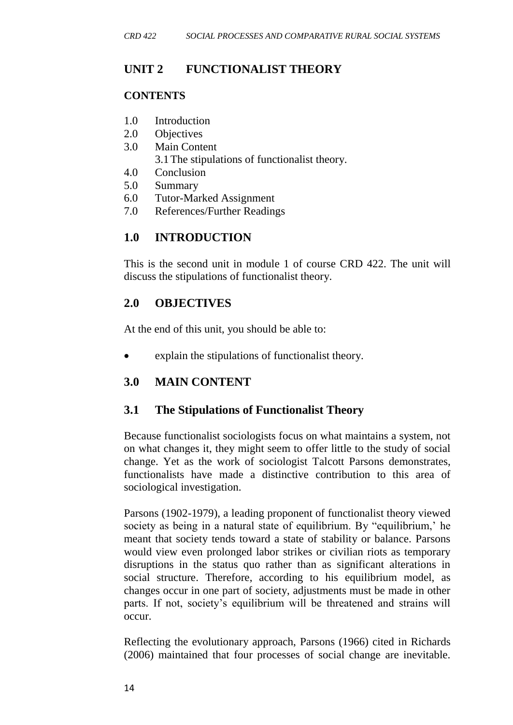## **UNIT 2 FUNCTIONALIST THEORY**

#### **CONTENTS**

- 1.0 Introduction
- 2.0 Objectives
- 3.0 Main Content
	- 3.1The stipulations of functionalist theory.
- 4.0 Conclusion
- 5.0 Summary
- 6.0 Tutor-Marked Assignment
- 7.0 References/Further Readings

# **1.0 INTRODUCTION**

This is the second unit in module 1 of course CRD 422. The unit will discuss the stipulations of functionalist theory.

# **2.0 OBJECTIVES**

At the end of this unit, you should be able to:

explain the stipulations of functionalist theory.

# **3.0 MAIN CONTENT**

## **3.1 The Stipulations of Functionalist Theory**

Because functionalist sociologists focus on what maintains a system, not on what changes it, they might seem to offer little to the study of social change. Yet as the work of sociologist Talcott Parsons demonstrates, functionalists have made a distinctive contribution to this area of sociological investigation.

Parsons (1902-1979), a leading proponent of functionalist theory viewed society as being in a natural state of equilibrium. By "equilibrium,' he meant that society tends toward a state of stability or balance. Parsons would view even prolonged labor strikes or civilian riots as temporary disruptions in the status quo rather than as significant alterations in social structure. Therefore, according to his equilibrium model, as changes occur in one part of society, adjustments must be made in other parts. If not, society's equilibrium will be threatened and strains will occur.

Reflecting the evolutionary approach, Parsons (1966) cited in Richards (2006) maintained that four processes of social change are inevitable.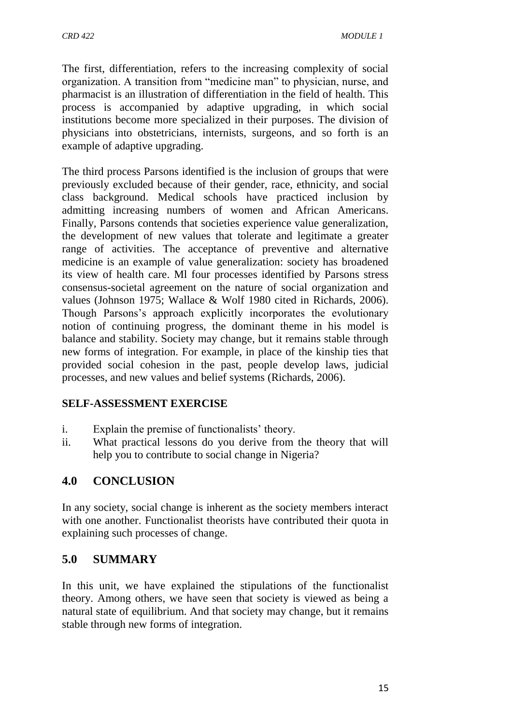The first, differentiation, refers to the increasing complexity of social organization. A transition from "medicine man" to physician, nurse, and pharmacist is an illustration of differentiation in the field of health. This process is accompanied by adaptive upgrading, in which social institutions become more specialized in their purposes. The division of physicians into obstetricians, internists, surgeons, and so forth is an example of adaptive upgrading.

The third process Parsons identified is the inclusion of groups that were previously excluded because of their gender, race, ethnicity, and social class background. Medical schools have practiced inclusion by admitting increasing numbers of women and African Americans. Finally, Parsons contends that societies experience value generalization, the development of new values that tolerate and legitimate a greater range of activities. The acceptance of preventive and alternative medicine is an example of value generalization: society has broadened its view of health care. Ml four processes identified by Parsons stress consensus-societal agreement on the nature of social organization and values (Johnson 1975; Wallace & Wolf 1980 cited in Richards, 2006). Though Parsons's approach explicitly incorporates the evolutionary notion of continuing progress, the dominant theme in his model is balance and stability. Society may change, but it remains stable through new forms of integration. For example, in place of the kinship ties that provided social cohesion in the past, people develop laws, judicial processes, and new values and belief systems (Richards, 2006).

## **SELF-ASSESSMENT EXERCISE**

- i. Explain the premise of functionalists' theory.
- ii. What practical lessons do you derive from the theory that will help you to contribute to social change in Nigeria?

# **4.0 CONCLUSION**

In any society, social change is inherent as the society members interact with one another. Functionalist theorists have contributed their quota in explaining such processes of change.

## **5.0 SUMMARY**

In this unit, we have explained the stipulations of the functionalist theory. Among others, we have seen that society is viewed as being a natural state of equilibrium. And that society may change, but it remains stable through new forms of integration.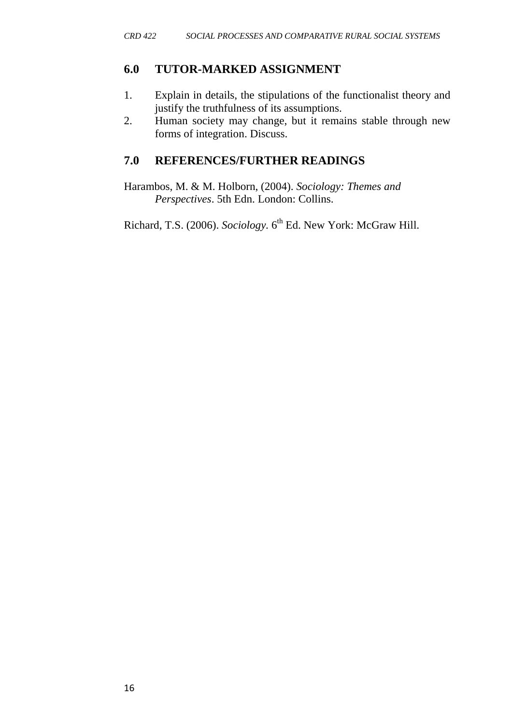#### **6.0 TUTOR-MARKED ASSIGNMENT**

- 1. Explain in details, the stipulations of the functionalist theory and justify the truthfulness of its assumptions.
- 2. Human society may change, but it remains stable through new forms of integration. Discuss.

#### **7.0 REFERENCES/FURTHER READINGS**

Harambos, M. & M. Holborn, (2004). *Sociology: Themes and Perspectives*. 5th Edn. London: Collins.

Richard, T.S. (2006). *Sociology*. 6<sup>th</sup> Ed. New York: McGraw Hill.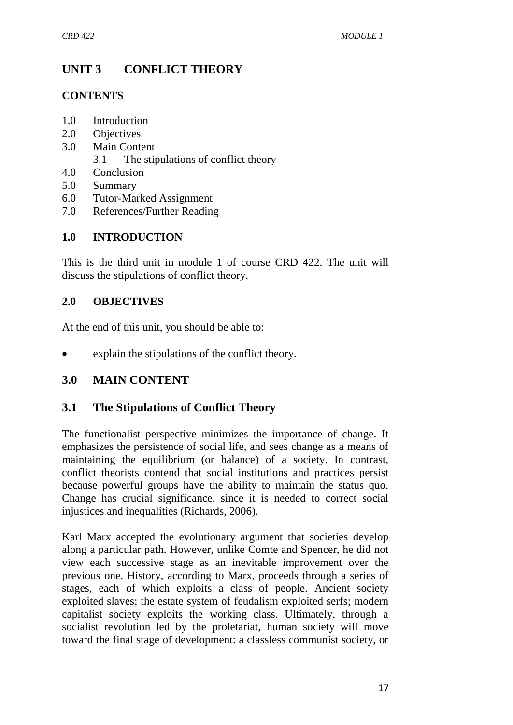# **UNIT 3 CONFLICT THEORY**

#### **CONTENTS**

- 1.0 Introduction
- 2.0 Objectives
- 3.0 Main Content
	- 3.1 The stipulations of conflict theory
- 4.0 Conclusion
- 5.0 Summary
- 6.0 Tutor-Marked Assignment
- 7.0 References/Further Reading

## **1.0 INTRODUCTION**

This is the third unit in module 1 of course CRD 422. The unit will discuss the stipulations of conflict theory.

## **2.0 OBJECTIVES**

At the end of this unit, you should be able to:

explain the stipulations of the conflict theory.

# **3.0 MAIN CONTENT**

## **3.1 The Stipulations of Conflict Theory**

The functionalist perspective minimizes the importance of change. It emphasizes the persistence of social life, and sees change as a means of maintaining the equilibrium (or balance) of a society. In contrast, conflict theorists contend that social institutions and practices persist because powerful groups have the ability to maintain the status quo. Change has crucial significance, since it is needed to correct social injustices and inequalities (Richards, 2006).

Karl Marx accepted the evolutionary argument that societies develop along a particular path. However, unlike Comte and Spencer, he did not view each successive stage as an inevitable improvement over the previous one. History, according to Marx, proceeds through a series of stages, each of which exploits a class of people. Ancient society exploited slaves; the estate system of feudalism exploited serfs; modern capitalist society exploits the working class. Ultimately, through a socialist revolution led by the proletariat, human society will move toward the final stage of development: a classless communist society, or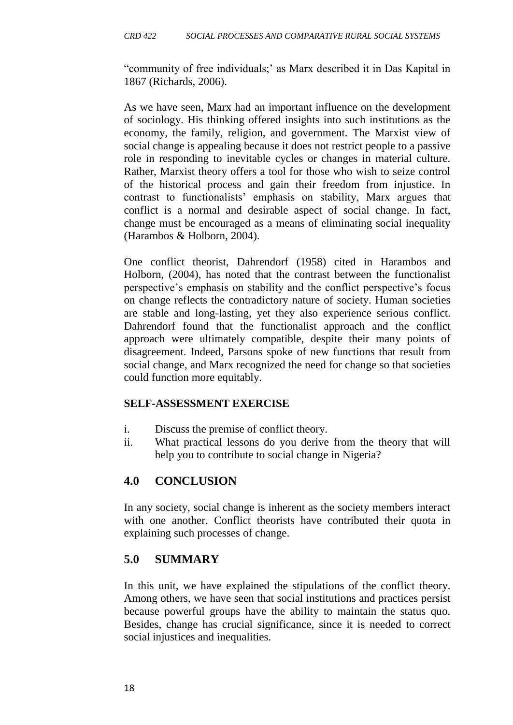"community of free individuals;' as Marx described it in Das Kapital in 1867 (Richards, 2006).

As we have seen, Marx had an important influence on the development of sociology. His thinking offered insights into such institutions as the economy, the family, religion, and government. The Marxist view of social change is appealing because it does not restrict people to a passive role in responding to inevitable cycles or changes in material culture. Rather, Marxist theory offers a tool for those who wish to seize control of the historical process and gain their freedom from injustice. In contrast to functionalists' emphasis on stability, Marx argues that conflict is a normal and desirable aspect of social change. In fact, change must be encouraged as a means of eliminating social inequality (Harambos & Holborn, 2004).

One conflict theorist, Dahrendorf (1958) cited in Harambos and Holborn, (2004), has noted that the contrast between the functionalist perspective's emphasis on stability and the conflict perspective's focus on change reflects the contradictory nature of society. Human societies are stable and long-lasting, yet they also experience serious conflict. Dahrendorf found that the functionalist approach and the conflict approach were ultimately compatible, despite their many points of disagreement. Indeed, Parsons spoke of new functions that result from social change, and Marx recognized the need for change so that societies could function more equitably.

#### **SELF-ASSESSMENT EXERCISE**

- i. Discuss the premise of conflict theory.
- ii. What practical lessons do you derive from the theory that will help you to contribute to social change in Nigeria?

## **4.0 CONCLUSION**

In any society, social change is inherent as the society members interact with one another. Conflict theorists have contributed their quota in explaining such processes of change.

## **5.0 SUMMARY**

In this unit, we have explained the stipulations of the conflict theory. Among others, we have seen that social institutions and practices persist because powerful groups have the ability to maintain the status quo. Besides, change has crucial significance, since it is needed to correct social injustices and inequalities.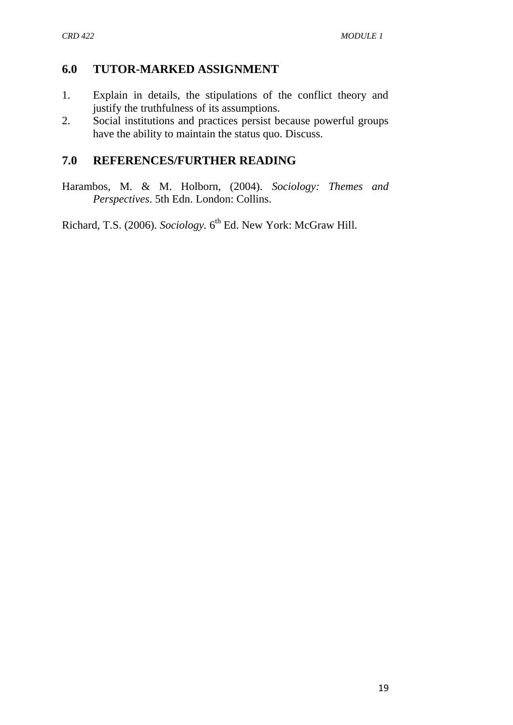## **6.0 TUTOR-MARKED ASSIGNMENT**

- 1. Explain in details, the stipulations of the conflict theory and justify the truthfulness of its assumptions.
- 2. Social institutions and practices persist because powerful groups have the ability to maintain the status quo. Discuss.

## **7.0 REFERENCES/FURTHER READING**

Harambos, M. & M. Holborn, (2004). *Sociology: Themes and Perspectives*. 5th Edn. London: Collins.

Richard, T.S. (2006). *Sociology*. 6<sup>th</sup> Ed. New York: McGraw Hill.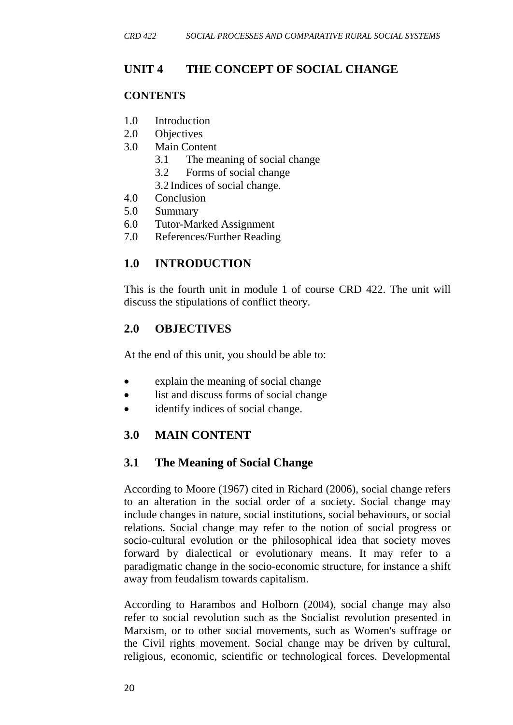# **UNIT 4 THE CONCEPT OF SOCIAL CHANGE**

#### **CONTENTS**

- 1.0 Introduction
- 2.0 Objectives
- 3.0 Main Content
	- 3.1 The meaning of social change
	- 3.2 Forms of social change
	- 3.2 Indices of social change.
- 4.0 Conclusion
- 5.0 Summary
- 6.0 Tutor-Marked Assignment
- 7.0 References/Further Reading

## **1.0 INTRODUCTION**

This is the fourth unit in module 1 of course CRD 422. The unit will discuss the stipulations of conflict theory.

## **2.0 OBJECTIVES**

At the end of this unit, you should be able to:

- explain the meaning of social change
- list and discuss forms of social change
- identify indices of social change.

# **3.0 MAIN CONTENT**

## **3.1 The Meaning of Social Change**

According to Moore (1967) cited in Richard (2006), social change refers to an alteration in the [social order](https://en.wikipedia.org/wiki/Social_order) of a [society.](https://en.wikipedia.org/wiki/Society) Social change may include changes in [nature,](https://en.wikipedia.org/wiki/Nature) [social institutions,](https://en.wikipedia.org/wiki/Social_institution) [social behaviours,](https://en.wikipedia.org/wiki/Social_behaviour) or [social](https://en.wikipedia.org/wiki/Social_relations)  [relations.](https://en.wikipedia.org/wiki/Social_relations) Social change may refer to the notion of [social progress](https://en.wikipedia.org/wiki/Social_progress) or [socio-cultural evolution](https://en.wikipedia.org/wiki/Sociocultural_evolution) or the philosophical idea that society moves forward by [dialectical](https://en.wikipedia.org/wiki/Dialectical) or [evolutionary](https://en.wikipedia.org/wiki/Evolutionary) means. It may refer to a paradigmatic change in the socio-economic structure, for instance a shift away from [feudalism](https://en.wikipedia.org/wiki/Feudalism) towards [capitalism.](https://en.wikipedia.org/wiki/Capitalism)

According to Harambos and Holborn (2004), social change may also refer to [social revolution](https://en.wikipedia.org/wiki/Social_revolution) such as the [Socialist](https://en.wikipedia.org/wiki/Socialism) revolution presented in [Marxism,](https://en.wikipedia.org/wiki/Marxism) or to other [social movements,](https://en.wikipedia.org/wiki/Social_movements) such as [Women's suffrage](https://en.wikipedia.org/wiki/Women%27s_suffrage) or the [Civil rights movement.](https://en.wikipedia.org/wiki/Civil_rights_movement) Social change may be driven by cultural, religious, economic, scientific or technological forces. Developmental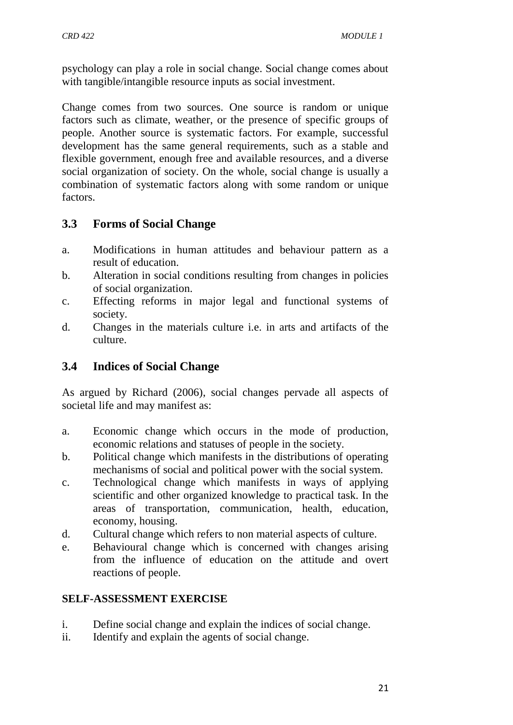psychology can play a role in social change. Social change comes about with tangible/intangible resource inputs as [social investment.](https://en.wikipedia.org/wiki/Social_investment)

Change comes from two sources. One source is random or unique factors such as climate, weather, or the presence of specific groups of people. Another source is systematic factors. For example, successful development has the same general requirements, such as a stable and flexible government, enough free and available resources, and a diverse social organization of society. On the whole, social change is usually a combination of systematic factors along with some random or unique factors.

# **3.3 Forms of Social Change**

- a. Modifications in human attitudes and behaviour pattern as a result of education.
- b. Alteration in social conditions resulting from changes in policies of social organization.
- c. Effecting reforms in major legal and functional systems of society.
- d. Changes in the materials culture i.e. in arts and artifacts of the culture.

# **3.4 Indices of Social Change**

As argued by Richard (2006), social changes pervade all aspects of societal life and may manifest as:

- a. Economic change which occurs in the mode of production, economic relations and statuses of people in the society.
- b. Political change which manifests in the distributions of operating mechanisms of social and political power with the social system.
- c. Technological change which manifests in ways of applying scientific and other organized knowledge to practical task. In the areas of transportation, communication, health, education, economy, housing.
- d. Cultural change which refers to non material aspects of culture.
- e. Behavioural change which is concerned with changes arising from the influence of education on the attitude and overt reactions of people.

## **SELF-ASSESSMENT EXERCISE**

- i. Define social change and explain the indices of social change.
- ii. Identify and explain the agents of social change.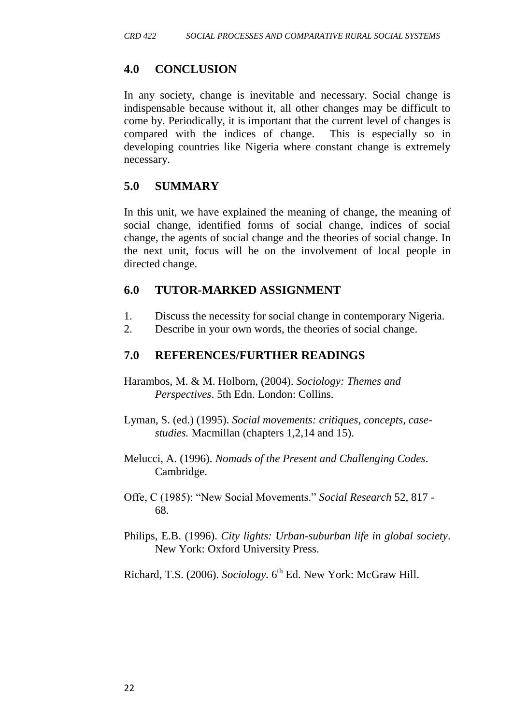## **4.0 CONCLUSION**

In any society, change is inevitable and necessary. Social change is indispensable because without it, all other changes may be difficult to come by. Periodically, it is important that the current level of changes is compared with the indices of change. This is especially so in developing countries like Nigeria where constant change is extremely necessary.

## **5.0 SUMMARY**

In this unit, we have explained the meaning of change, the meaning of social change, identified forms of social change, indices of social change, the agents of social change and the theories of social change. In the next unit, focus will be on the involvement of local people in directed change.

## **6.0 TUTOR-MARKED ASSIGNMENT**

- 1. Discuss the necessity for social change in contemporary Nigeria.
- 2. Describe in your own words, the theories of social change.

# **7.0 REFERENCES/FURTHER READINGS**

- Harambos, M. & M. Holborn, (2004). *Sociology: Themes and Perspectives*. 5th Edn. London: Collins.
- Lyman, S. (ed.) (1995). *Social movements: critiques, concepts, casestudies.* Macmillan (chapters 1,2,14 and 15).
- Melucci, A. (1996). *Nomads of the Present and Challenging Codes*. Cambridge.
- Offe, C (1985): "New Social Movements." *Social Research* 52, 817 68.
- Philips, E.B. (1996). *City lights: Urban-suburban life in global society*. New York: Oxford University Press.
- Richard, T.S. (2006). *Sociology*. 6<sup>th</sup> Ed. New York: McGraw Hill.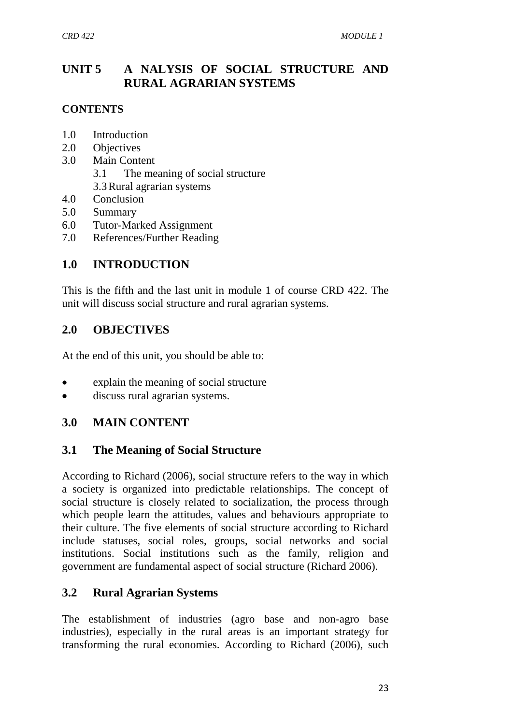# **UNIT 5 A NALYSIS OF SOCIAL STRUCTURE AND RURAL AGRARIAN SYSTEMS**

#### **CONTENTS**

- 1.0 Introduction
- 2.0 Objectives
- 3.0 Main Content
	- 3.1 The meaning of social structure
	- 3.3Rural agrarian systems
- 4.0 Conclusion
- 5.0 Summary
- 6.0 Tutor-Marked Assignment
- 7.0 References/Further Reading

# **1.0 INTRODUCTION**

This is the fifth and the last unit in module 1 of course CRD 422. The unit will discuss social structure and rural agrarian systems.

## **2.0 OBJECTIVES**

At the end of this unit, you should be able to:

- explain the meaning of social structure
- discuss rural agrarian systems.

## **3.0 MAIN CONTENT**

## **3.1 The Meaning of Social Structure**

According to Richard (2006), social structure refers to the way in which a society is organized into predictable relationships. The concept of social structure is closely related to socialization, the process through which people learn the attitudes, values and behaviours appropriate to their culture. The five elements of social structure according to Richard include statuses, social roles, groups, social networks and social institutions. Social institutions such as the family, religion and government are fundamental aspect of social structure (Richard 2006).

## **3.2 Rural Agrarian Systems**

The establishment of industries (agro base and non-agro base industries), especially in the rural areas is an important strategy for transforming the rural economies. According to Richard (2006), such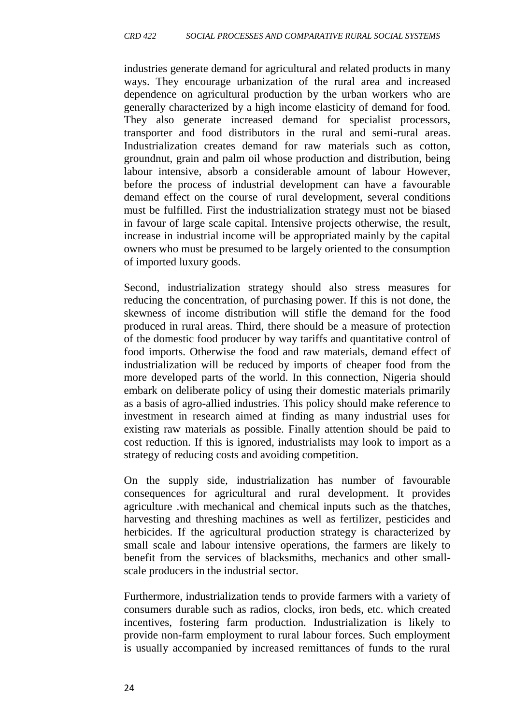industries generate demand for agricultural and related products in many ways. They encourage urbanization of the rural area and increased dependence on agricultural production by the urban workers who are generally characterized by a high income elasticity of demand for food. They also generate increased demand for specialist processors, transporter and food distributors in the rural and semi-rural areas. Industrialization creates demand for raw materials such as cotton, groundnut, grain and palm oil whose production and distribution, being labour intensive, absorb a considerable amount of labour However, before the process of industrial development can have a favourable demand effect on the course of rural development, several conditions must be fulfilled. First the industrialization strategy must not be biased in favour of large scale capital. Intensive projects otherwise, the result, increase in industrial income will be appropriated mainly by the capital owners who must be presumed to be largely oriented to the consumption of imported luxury goods.

Second, industrialization strategy should also stress measures for reducing the concentration, of purchasing power. If this is not done, the skewness of income distribution will stifle the demand for the food produced in rural areas. Third, there should be a measure of protection of the domestic food producer by way tariffs and quantitative control of food imports. Otherwise the food and raw materials, demand effect of industrialization will be reduced by imports of cheaper food from the more developed parts of the world. In this connection, Nigeria should embark on deliberate policy of using their domestic materials primarily as a basis of agro-allied industries. This policy should make reference to investment in research aimed at finding as many industrial uses for existing raw materials as possible. Finally attention should be paid to cost reduction. If this is ignored, industrialists may look to import as a strategy of reducing costs and avoiding competition.

On the supply side, industrialization has number of favourable consequences for agricultural and rural development. It provides agriculture .with mechanical and chemical inputs such as the thatches, harvesting and threshing machines as well as fertilizer, pesticides and herbicides. If the agricultural production strategy is characterized by small scale and labour intensive operations, the farmers are likely to benefit from the services of blacksmiths, mechanics and other smallscale producers in the industrial sector.

Furthermore, industrialization tends to provide farmers with a variety of consumers durable such as radios, clocks, iron beds, etc. which created incentives, fostering farm production. Industrialization is likely to provide non-farm employment to rural labour forces. Such employment is usually accompanied by increased remittances of funds to the rural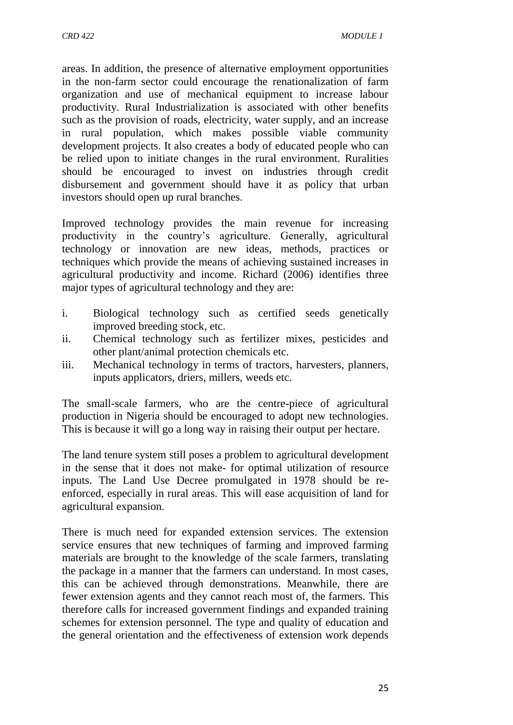areas. In addition, the presence of alternative employment opportunities in the non-farm sector could encourage the renationalization of farm organization and use of mechanical equipment to increase labour productivity. Rural Industrialization is associated with other benefits such as the provision of roads, electricity, water supply, and an increase in rural population, which makes possible viable community development projects. It also creates a body of educated people who can be relied upon to initiate changes in the rural environment. Ruralities should be encouraged to invest on industries through credit disbursement and government should have it as policy that urban investors should open up rural branches.

Improved technology provides the main revenue for increasing productivity in the country's agriculture. Generally, agricultural technology or innovation are new ideas, methods, practices or techniques which provide the means of achieving sustained increases in agricultural productivity and income. Richard (2006) identifies three major types of agricultural technology and they are:

- i. Biological technology such as certified seeds genetically improved breeding stock, etc.
- ii. Chemical technology such as fertilizer mixes, pesticides and other plant/animal protection chemicals etc.
- iii. Mechanical technology in terms of tractors, harvesters, planners, inputs applicators, driers, millers, weeds etc.

The small-scale farmers, who are the centre-piece of agricultural production in Nigeria should be encouraged to adopt new technologies. This is because it will go a long way in raising their output per hectare.

The land tenure system still poses a problem to agricultural development in the sense that it does not make- for optimal utilization of resource inputs. The Land Use Decree promulgated in 1978 should be reenforced, especially in rural areas. This will ease acquisition of land for agricultural expansion.

There is much need for expanded extension services. The extension service ensures that new techniques of farming and improved farming materials are brought to the knowledge of the scale farmers, translating the package in a manner that the farmers can understand. In most cases, this can be achieved through demonstrations. Meanwhile, there are fewer extension agents and they cannot reach most of, the farmers. This therefore calls for increased government findings and expanded training schemes for extension personnel. The type and quality of education and the general orientation and the effectiveness of extension work depends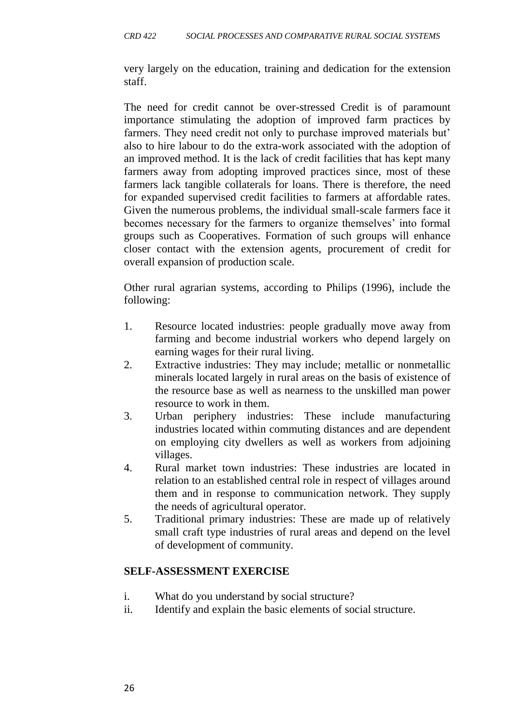very largely on the education, training and dedication for the extension staff.

The need for credit cannot be over-stressed Credit is of paramount importance stimulating the adoption of improved farm practices by farmers. They need credit not only to purchase improved materials but' also to hire labour to do the extra-work associated with the adoption of an improved method. It is the lack of credit facilities that has kept many farmers away from adopting improved practices since, most of these farmers lack tangible collaterals for loans. There is therefore, the need for expanded supervised credit facilities to farmers at affordable rates. Given the numerous problems, the individual small-scale farmers face it becomes necessary for the farmers to organize themselves' into formal groups such as Cooperatives. Formation of such groups will enhance closer contact with the extension agents, procurement of credit for overall expansion of production scale.

Other rural agrarian systems, according to Philips (1996), include the following:

- 1. Resource located industries: people gradually move away from farming and become industrial workers who depend largely on earning wages for their rural living.
- 2. Extractive industries: They may include; metallic or nonmetallic minerals located largely in rural areas on the basis of existence of the resource base as well as nearness to the unskilled man power resource to work in them.
- 3. Urban periphery industries: These include manufacturing industries located within commuting distances and are dependent on employing city dwellers as well as workers from adjoining villages.
- 4. Rural market town industries: These industries are located in relation to an established central role in respect of villages around them and in response to communication network. They supply the needs of agricultural operator.
- 5. Traditional primary industries: These are made up of relatively small craft type industries of rural areas and depend on the level of development of community.

#### **SELF-ASSESSMENT EXERCISE**

- i. What do you understand by social structure?
- ii. Identify and explain the basic elements of social structure.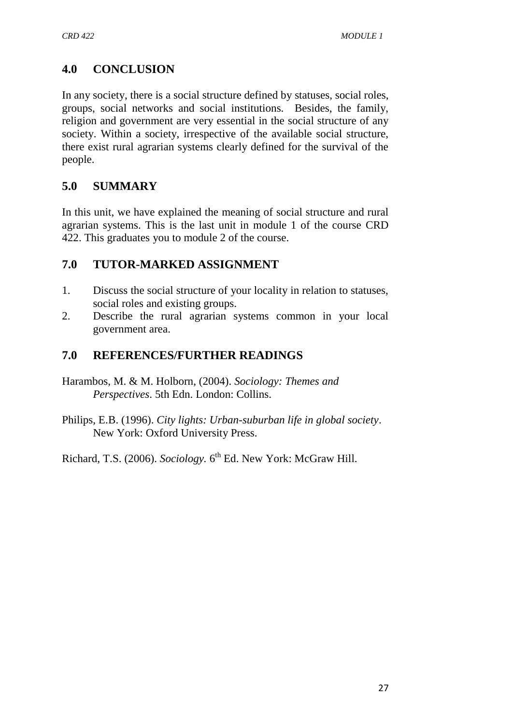# **4.0 CONCLUSION**

In any society, there is a social structure defined by statuses, social roles, groups, social networks and social institutions. Besides, the family, religion and government are very essential in the social structure of any society. Within a society, irrespective of the available social structure, there exist rural agrarian systems clearly defined for the survival of the people.

# **5.0 SUMMARY**

In this unit, we have explained the meaning of social structure and rural agrarian systems. This is the last unit in module 1 of the course CRD 422. This graduates you to module 2 of the course.

# **7.0 TUTOR-MARKED ASSIGNMENT**

- 1. Discuss the social structure of your locality in relation to statuses, social roles and existing groups.
- 2. Describe the rural agrarian systems common in your local government area.

# **7.0 REFERENCES/FURTHER READINGS**

- Harambos, M. & M. Holborn, (2004). *Sociology: Themes and Perspectives*. 5th Edn. London: Collins.
- Philips, E.B. (1996). *City lights: Urban-suburban life in global society*. New York: Oxford University Press.

Richard, T.S. (2006). *Sociology*. 6<sup>th</sup> Ed. New York: McGraw Hill.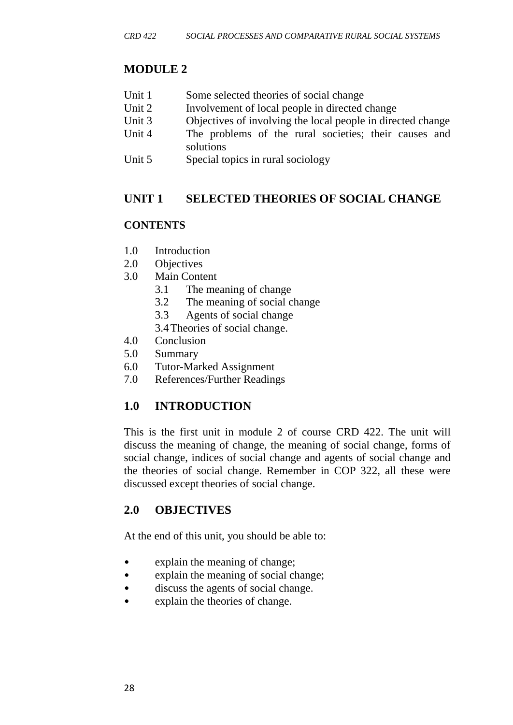# **MODULE 2**

- Unit 1 Some selected theories of social change
- Unit 2 Involvement of local people in directed change
- Unit 3 Objectives of involving the local people in directed change
- Unit 4 The problems of the rural societies; their causes and solutions
- Unit 5 Special topics in rural sociology

## **UNIT 1 SELECTED THEORIES OF SOCIAL CHANGE**

#### **CONTENTS**

- 1.0 Introduction
- 2.0 Objectives
- 3.0 Main Content
	- 3.1 The meaning of change
	- 3.2 The meaning of social change
	- 3.3 Agents of social change
	- 3.4Theories of social change.
- 4.0 Conclusion
- 5.0 Summary
- 6.0 Tutor-Marked Assignment
- 7.0 References/Further Readings

# **1.0 INTRODUCTION**

This is the first unit in module 2 of course CRD 422. The unit will discuss the meaning of change, the meaning of social change, forms of social change, indices of social change and agents of social change and the theories of social change. Remember in COP 322, all these were discussed except theories of social change.

## **2.0 OBJECTIVES**

At the end of this unit, you should be able to:

- explain the meaning of change;
- explain the meaning of social change;
- discuss the agents of social change.
- explain the theories of change.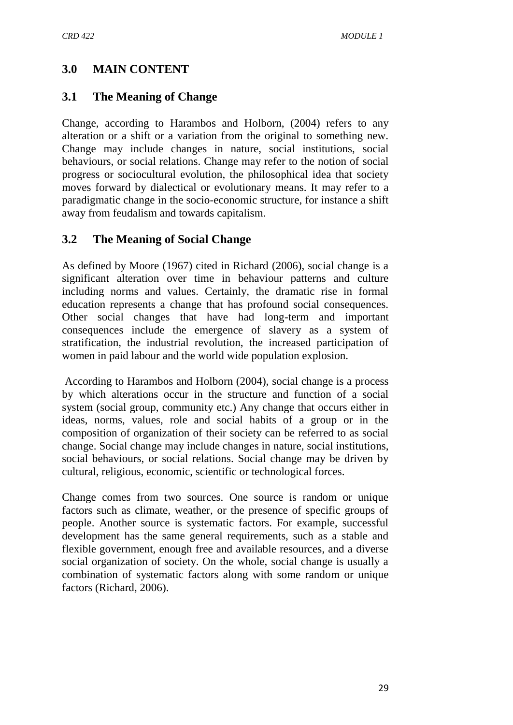## **3.0 MAIN CONTENT**

#### **3.1 The Meaning of Change**

Change, according to Harambos and Holborn, (2004) refers to any alteration or a shift or a variation from the original to something new. Change may include changes in [nature,](https://en.wikipedia.org/wiki/Nature) [social institutions,](https://en.wikipedia.org/wiki/Social_institution) [social](https://en.wikipedia.org/wiki/Social_behaviour)  [behaviours,](https://en.wikipedia.org/wiki/Social_behaviour) or [social relations.](https://en.wikipedia.org/wiki/Social_relations) Change may refer to the notion of [social](https://en.wikipedia.org/wiki/Social_progress)  [progress](https://en.wikipedia.org/wiki/Social_progress) or [sociocultural evolution,](https://en.wikipedia.org/wiki/Sociocultural_evolution) the philosophical idea that society moves forward by [dialectical](https://en.wikipedia.org/wiki/Dialectical) or [evolutionary](https://en.wikipedia.org/wiki/Evolutionary) means. It may refer to a paradigmatic change in the socio-economic structure, for instance a shift away from [feudalism](https://en.wikipedia.org/wiki/Feudalism) and towards [capitalism.](https://en.wikipedia.org/wiki/Capitalism)

#### **3.2 The Meaning of Social Change**

As defined by Moore (1967) cited in Richard (2006), social change is a significant alteration over time in behaviour patterns and culture including norms and values. Certainly, the dramatic rise in formal education represents a change that has profound social consequences. Other social changes that have had long-term and important consequences include the emergence of slavery as a system of stratification, the industrial revolution, the increased participation of women in paid labour and the world wide population explosion.

According to Harambos and Holborn (2004), social change is a process by which alterations occur in the structure and function of a social system (social group, community etc.) Any change that occurs either in ideas, norms, values, role and social habits of a group or in the composition of organization of their society can be referred to as social change. Social change may include changes in [nature,](https://en.wikipedia.org/wiki/Nature) [social institutions,](https://en.wikipedia.org/wiki/Social_institution) [social behaviours,](https://en.wikipedia.org/wiki/Social_behaviour) or [social relations.](https://en.wikipedia.org/wiki/Social_relations) Social change may be driven by cultural, religious, economic, scientific or technological forces.

Change comes from two sources. One source is random or unique factors such as climate, weather, or the presence of specific groups of people. Another source is systematic factors. For example, successful development has the same general requirements, such as a stable and flexible government, enough free and available resources, and a diverse social organization of society. On the whole, social change is usually a combination of systematic factors along with some random or unique factors (Richard, 2006).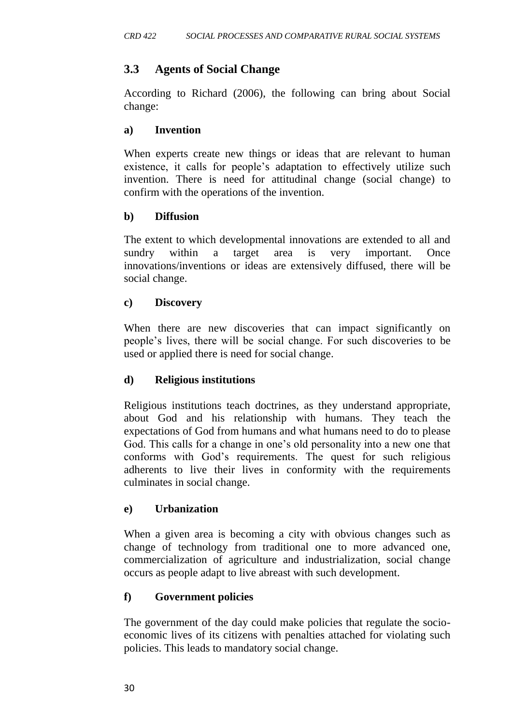# **3.3 Agents of Social Change**

According to Richard (2006), the following can bring about Social change:

#### **a) Invention**

When experts create new things or ideas that are relevant to human existence, it calls for people's adaptation to effectively utilize such invention. There is need for attitudinal change (social change) to confirm with the operations of the invention.

#### **b) Diffusion**

The extent to which developmental innovations are extended to all and sundry within a target area is very important. Once innovations/inventions or ideas are extensively diffused, there will be social change.

#### **c) Discovery**

When there are new discoveries that can impact significantly on people's lives, there will be social change. For such discoveries to be used or applied there is need for social change.

#### **d) Religious institutions**

Religious institutions teach doctrines, as they understand appropriate, about God and his relationship with humans. They teach the expectations of God from humans and what humans need to do to please God. This calls for a change in one's old personality into a new one that conforms with God's requirements. The quest for such religious adherents to live their lives in conformity with the requirements culminates in social change.

#### **e) Urbanization**

When a given area is becoming a city with obvious changes such as change of technology from traditional one to more advanced one, commercialization of agriculture and industrialization, social change occurs as people adapt to live abreast with such development.

## **f) Government policies**

The government of the day could make policies that regulate the socioeconomic lives of its citizens with penalties attached for violating such policies. This leads to mandatory social change.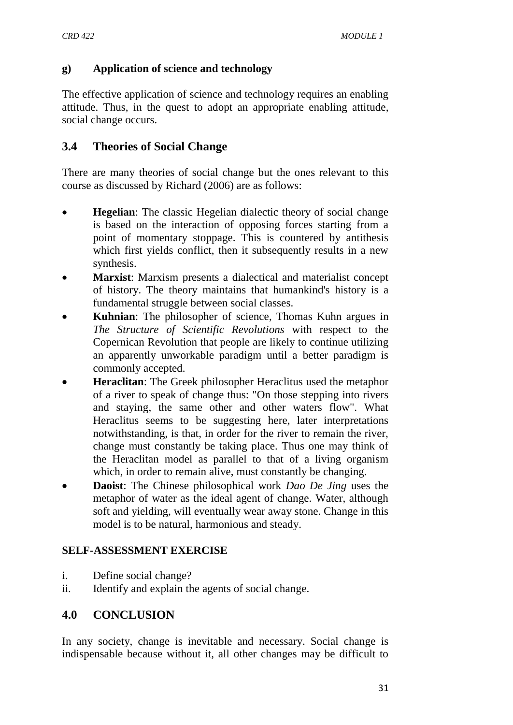#### **g) Application of science and technology**

The effective application of science and technology requires an enabling attitude. Thus, in the quest to adopt an appropriate enabling attitude, social change occurs.

## **3.4 Theories of Social Change**

There are many theories of social change but the ones relevant to this course as discussed by Richard (2006) are as follows:

- **Hegelian**: The classic [Hegelian](https://en.wikipedia.org/wiki/Hegelian) dialectic theory of social change is based on the interaction of opposing forces starting from a point of momentary stoppage. This is countered by antithesis which first yields conflict, then it subsequently results in a new synthesis.
- **Marxist**: [Marxism](https://en.wikipedia.org/wiki/Marxism) presents a dialectical and materialist concept of history. The theory maintains that humankind's history is a fundamental struggle between [social classes.](https://en.wikipedia.org/wiki/Social_class)
- **Kuhnian**: The [philosopher of science,](https://en.wikipedia.org/wiki/Philosopher_of_science) [Thomas Kuhn](https://en.wikipedia.org/wiki/Thomas_Kuhn) argues in *[The Structure of Scientific Revolutions](https://en.wikipedia.org/wiki/The_Structure_of_Scientific_Revolutions)* with respect to the [Copernican](https://en.wikipedia.org/wiki/Copernicus) Revolution that people are likely to continue utilizing an apparently unworkable paradigm until a better paradigm is commonly accepted.
- **Heraclitan**: The Greek philosopher [Heraclitus](https://en.wikipedia.org/wiki/Heraclitus) used the metaphor of a river to speak of change thus: "On those stepping into rivers and staying, the same other and other waters flow". What Heraclitus seems to be suggesting here, later interpretations notwithstanding, is that, in order for the river to remain the river, change must constantly be taking place. Thus one may think of the Heraclitan model as parallel to that of a living organism which, in order to remain alive, must constantly be changing.
- **Daoist**: The Chinese philosophical work *[Dao De Jing](https://en.wikipedia.org/wiki/Dao_De_Jing)* uses the metaphor of water as the ideal agent of change. Water, although soft and yielding, will eventually wear away stone. Change in this model is to be natural, harmonious and steady.

#### **SELF-ASSESSMENT EXERCISE**

- i. Define social change?
- ii. Identify and explain the agents of social change.

# **4.0 CONCLUSION**

In any society, change is inevitable and necessary. Social change is indispensable because without it, all other changes may be difficult to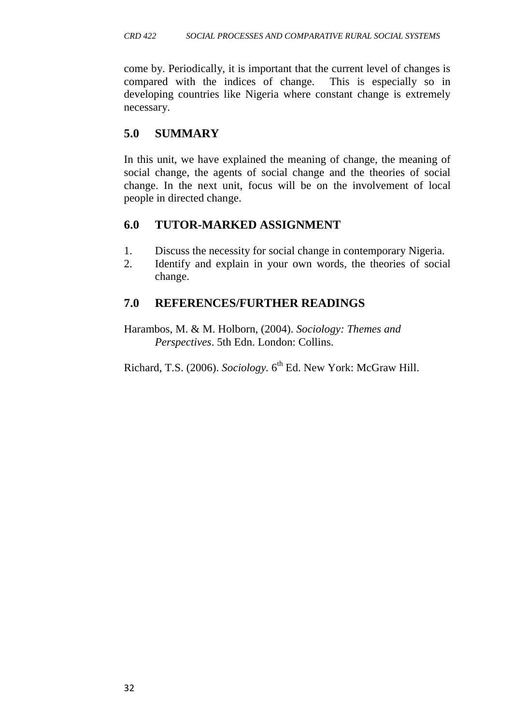come by. Periodically, it is important that the current level of changes is compared with the indices of change. This is especially so in developing countries like Nigeria where constant change is extremely necessary.

# **5.0 SUMMARY**

In this unit, we have explained the meaning of change, the meaning of social change, the agents of social change and the theories of social change. In the next unit, focus will be on the involvement of local people in directed change.

# **6.0 TUTOR-MARKED ASSIGNMENT**

- 1. Discuss the necessity for social change in contemporary Nigeria.
- 2. Identify and explain in your own words, the theories of social change.

# **7.0 REFERENCES/FURTHER READINGS**

Harambos, M. & M. Holborn, (2004). *Sociology: Themes and Perspectives*. 5th Edn. London: Collins.

Richard, T.S. (2006). *Sociology*. 6<sup>th</sup> Ed. New York: McGraw Hill.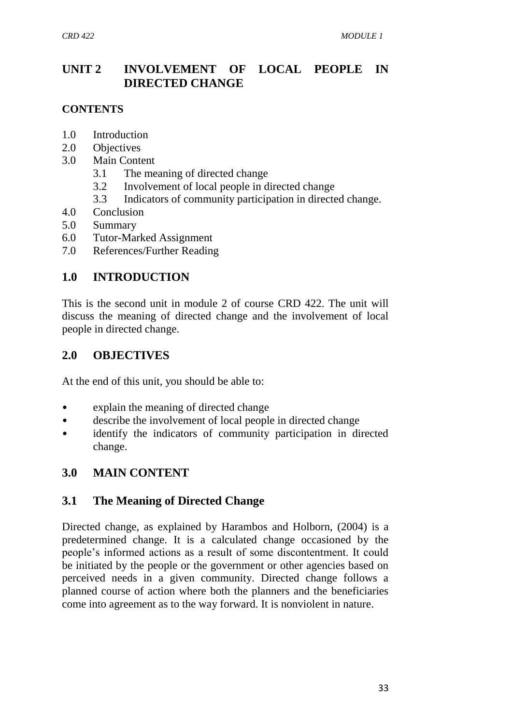# **UNIT 2 INVOLVEMENT OF LOCAL PEOPLE IN DIRECTED CHANGE**

#### **CONTENTS**

- 1.0 Introduction
- 2.0 Objectives
- 3.0 Main Content
	- 3.1 The meaning of directed change
	- 3.2 Involvement of local people in directed change
	- 3.3 Indicators of community participation in directed change.
- 4.0 Conclusion
- 5.0 Summary
- 6.0 Tutor-Marked Assignment
- 7.0 References/Further Reading

# **1.0 INTRODUCTION**

This is the second unit in module 2 of course CRD 422. The unit will discuss the meaning of directed change and the involvement of local people in directed change.

## **2.0 OBJECTIVES**

At the end of this unit, you should be able to:

- explain the meaning of directed change
- describe the involvement of local people in directed change
- identify the indicators of community participation in directed change.

## **3.0 MAIN CONTENT**

## **3.1 The Meaning of Directed Change**

Directed change, as explained by Harambos and Holborn, (2004) is a predetermined change. It is a calculated change occasioned by the people's informed actions as a result of some discontentment. It could be initiated by the people or the government or other agencies based on perceived needs in a given community. Directed change follows a planned course of action where both the planners and the beneficiaries come into agreement as to the way forward. It is nonviolent in nature.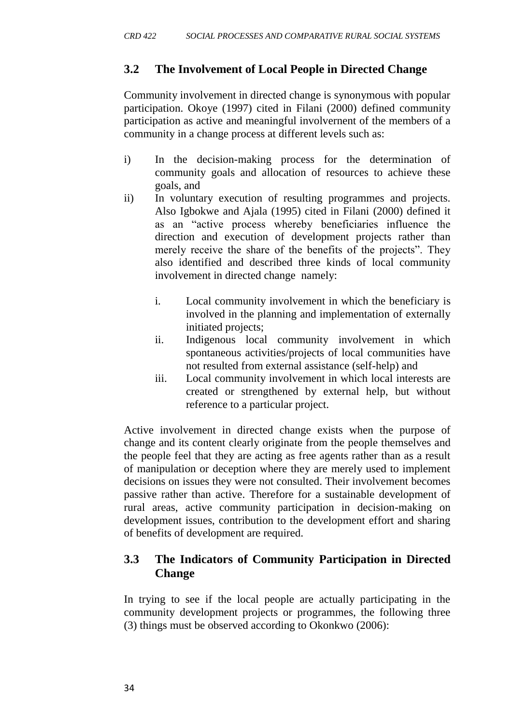#### **3.2 The Involvement of Local People in Directed Change**

Community involvement in directed change is synonymous with popular participation. Okoye (1997) cited in Filani (2000) defined community participation as active and meaningful involvernent of the members of a community in a change process at different levels such as:

- i) In the decision-making process for the determination of community goals and allocation of resources to achieve these goals, and
- ii) In voluntary execution of resulting programmes and projects. Also Igbokwe and Ajala (1995) cited in Filani (2000) defined it as an "active process whereby beneficiaries influence the direction and execution of development projects rather than merely receive the share of the benefits of the projects". They also identified and described three kinds of local community involvement in directed change namely:
	- i. Local community involvement in which the beneficiary is involved in the planning and implementation of externally initiated projects;
	- ii. Indigenous local community involvement in which spontaneous activities/projects of local communities have not resulted from external assistance (self-help) and
	- iii. Local community involvement in which local interests are created or strengthened by external help, but without reference to a particular project.

Active involvement in directed change exists when the purpose of change and its content clearly originate from the people themselves and the people feel that they are acting as free agents rather than as a result of manipulation or deception where they are merely used to implement decisions on issues they were not consulted. Their involvement becomes passive rather than active. Therefore for a sustainable development of rural areas, active community participation in decision-making on development issues, contribution to the development effort and sharing of benefits of development are required.

## **3.3 The Indicators of Community Participation in Directed Change**

In trying to see if the local people are actually participating in the community development projects or programmes, the following three (3) things must be observed according to Okonkwo (2006):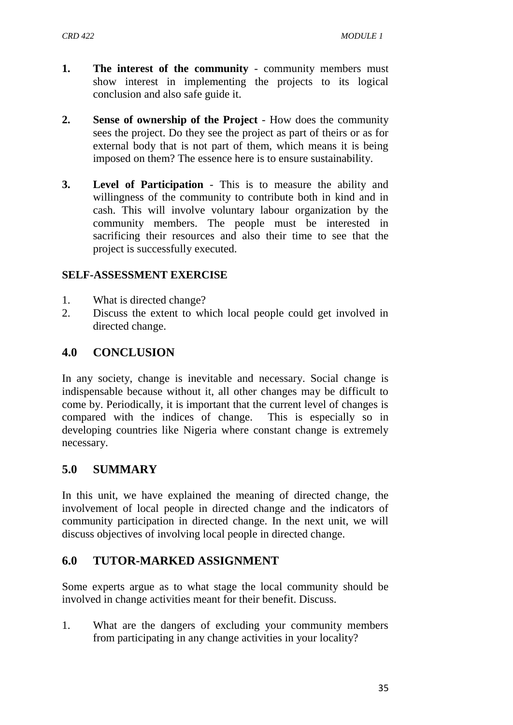- **1. The interest of the community** community members must show interest in implementing the projects to its logical conclusion and also safe guide it.
- **2. Sense of ownership of the Project** How does the community sees the project. Do they see the project as part of theirs or as for external body that is not part of them, which means it is being imposed on them? The essence here is to ensure sustainability.
- **3. Level of Participation** This is to measure the ability and willingness of the community to contribute both in kind and in cash. This will involve voluntary labour organization by the community members. The people must be interested in sacrificing their resources and also their time to see that the project is successfully executed.

#### **SELF-ASSESSMENT EXERCISE**

- 1. What is directed change?
- 2. Discuss the extent to which local people could get involved in directed change.

# **4.0 CONCLUSION**

In any society, change is inevitable and necessary. Social change is indispensable because without it, all other changes may be difficult to come by. Periodically, it is important that the current level of changes is compared with the indices of change. This is especially so in developing countries like Nigeria where constant change is extremely necessary.

## **5.0 SUMMARY**

In this unit, we have explained the meaning of directed change, the involvement of local people in directed change and the indicators of community participation in directed change. In the next unit, we will discuss objectives of involving local people in directed change.

## **6.0 TUTOR-MARKED ASSIGNMENT**

Some experts argue as to what stage the local community should be involved in change activities meant for their benefit. Discuss.

1. What are the dangers of excluding your community members from participating in any change activities in your locality?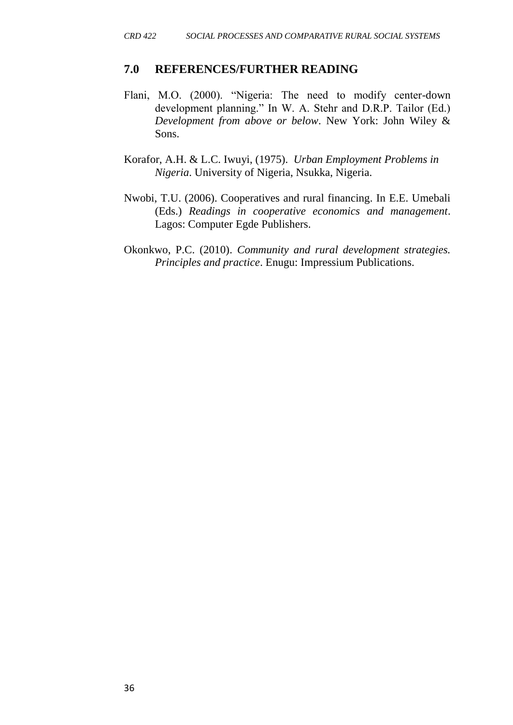#### **7.0 REFERENCES/FURTHER READING**

- Flani, M.O. (2000). "Nigeria: The need to modify center-down development planning." In W. A. Stehr and D.R.P. Tailor (Ed.) *Development from above or below*. New York: John Wiley & Sons.
- Korafor, A.H. & L.C. Iwuyi, (1975). *Urban Employment Problems in Nigeria*. University of Nigeria, Nsukka, Nigeria.
- Nwobi, T.U. (2006). Cooperatives and rural financing. In E.E. Umebali (Eds.) *Readings in cooperative economics and management*. Lagos: Computer Egde Publishers.
- Okonkwo, P.C. (2010). *Community and rural development strategies. Principles and practice*. Enugu: Impressium Publications.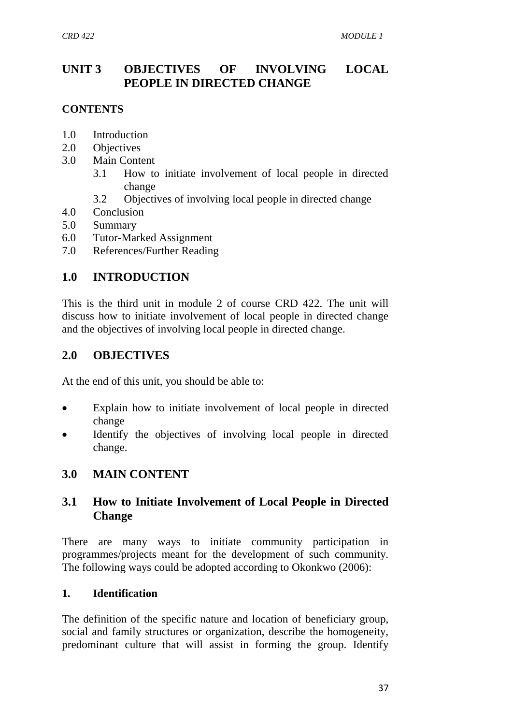# **UNIT 3 OBJECTIVES OF INVOLVING LOCAL PEOPLE IN DIRECTED CHANGE**

## **CONTENTS**

- 1.0 Introduction
- 2.0 Objectives
- 3.0 Main Content
	- 3.1 How to initiate involvement of local people in directed change
	- 3.2 Objectives of involving local people in directed change
- 4.0 Conclusion
- 5.0 Summary
- 6.0 Tutor-Marked Assignment
- 7.0 References/Further Reading

# **1.0 INTRODUCTION**

This is the third unit in module 2 of course CRD 422. The unit will discuss how to initiate involvement of local people in directed change and the objectives of involving local people in directed change.

## **2.0 OBJECTIVES**

At the end of this unit, you should be able to:

- Explain how to initiate involvement of local people in directed change
- Identify the objectives of involving local people in directed change.

# **3.0 MAIN CONTENT**

# **3.1 How to Initiate Involvement of Local People in Directed Change**

There are many ways to initiate community participation in programmes/projects meant for the development of such community. The following ways could be adopted according to Okonkwo (2006):

#### **1. Identification**

The definition of the specific nature and location of beneficiary group, social and family structures or organization, describe the homogeneity, predominant culture that will assist in forming the group. Identify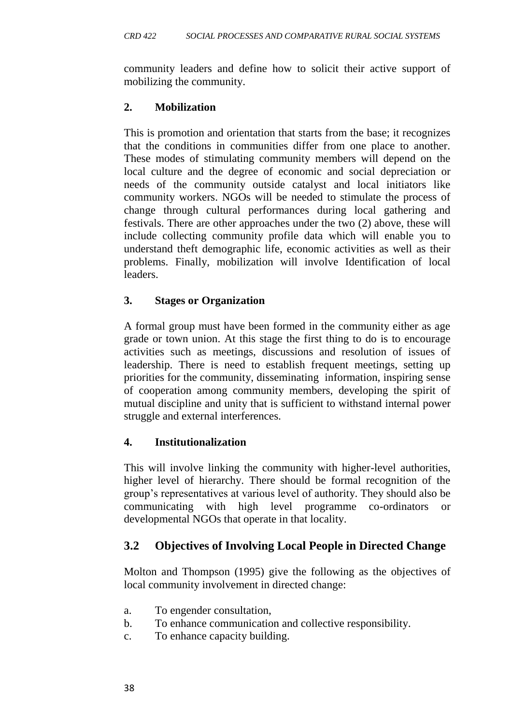community leaders and define how to solicit their active support of mobilizing the community.

#### **2. Mobilization**

This is promotion and orientation that starts from the base; it recognizes that the conditions in communities differ from one place to another. These modes of stimulating community members will depend on the local culture and the degree of economic and social depreciation or needs of the community outside catalyst and local initiators like community workers. NGOs will be needed to stimulate the process of change through cultural performances during local gathering and festivals. There are other approaches under the two (2) above, these will include collecting community profile data which will enable you to understand theft demographic life, economic activities as well as their problems. Finally, mobilization will involve Identification of local leaders.

#### **3. Stages or Organization**

A formal group must have been formed in the community either as age grade or town union. At this stage the first thing to do is to encourage activities such as meetings, discussions and resolution of issues of leadership. There is need to establish frequent meetings, setting up priorities for the community, disseminating information, inspiring sense of cooperation among community members, developing the spirit of mutual discipline and unity that is sufficient to withstand internal power struggle and external interferences.

#### **4. Institutionalization**

This will involve linking the community with higher-level authorities, higher level of hierarchy. There should be formal recognition of the group's representatives at various level of authority. They should also be communicating with high level programme co-ordinators or developmental NGOs that operate in that locality.

## **3.2 Objectives of Involving Local People in Directed Change**

Molton and Thompson (1995) give the following as the objectives of local community involvement in directed change:

- a. To engender consultation,
- b. To enhance communication and collective responsibility.
- c. To enhance capacity building.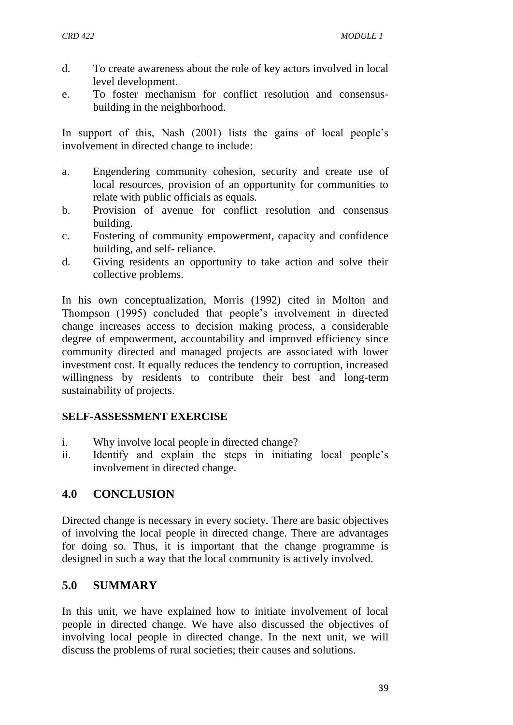- d. To create awareness about the role of key actors involved in local level development.
- e. To foster mechanism for conflict resolution and consensusbuilding in the neighborhood.

In support of this, Nash (2001) lists the gains of local people's involvement in directed change to include:

- a. Engendering community cohesion, security and create use of local resources, provision of an opportunity for communities to relate with public officials as equals.
- b. Provision of avenue for conflict resolution and consensus building.
- c. Fostering of community empowerment, capacity and confidence building, and self- reliance.
- d. Giving residents an opportunity to take action and solve their collective problems.

In his own conceptualization, Morris (1992) cited in Molton and Thompson (1995) concluded that people's involvement in directed change increases access to decision making process, a considerable degree of empowerment, accountability and improved efficiency since community directed and managed projects are associated with lower investment cost. It equally reduces the tendency to corruption, increased willingness by residents to contribute their best and long-term sustainability of projects.

#### **SELF-ASSESSMENT EXERCISE**

- i. Why involve local people in directed change?
- ii. Identify and explain the steps in initiating local people's involvement in directed change.

# **4.0 CONCLUSION**

Directed change is necessary in every society. There are basic objectives of involving the local people in directed change. There are advantages for doing so. Thus, it is important that the change programme is designed in such a way that the local community is actively involved.

# **5.0 SUMMARY**

In this unit, we have explained how to initiate involvement of local people in directed change. We have also discussed the objectives of involving local people in directed change. In the next unit, we will discuss the problems of rural societies; their causes and solutions.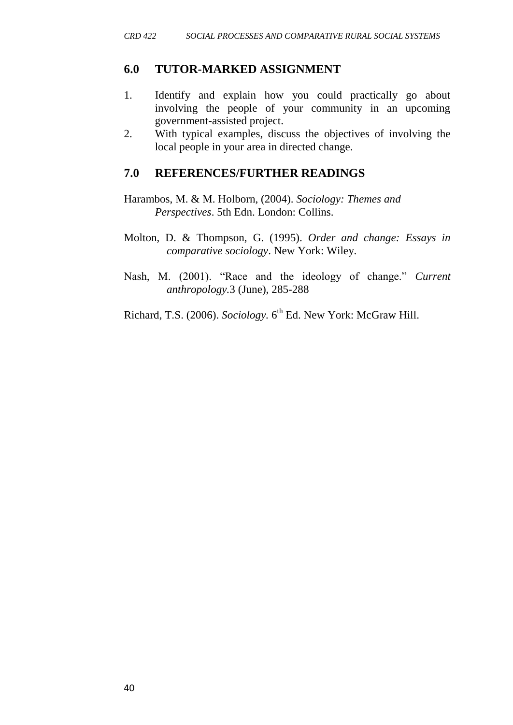#### **6.0 TUTOR-MARKED ASSIGNMENT**

- 1. Identify and explain how you could practically go about involving the people of your community in an upcoming government-assisted project.
- 2. With typical examples, discuss the objectives of involving the local people in your area in directed change.

#### **7.0 REFERENCES/FURTHER READINGS**

- Harambos, M. & M. Holborn, (2004). *Sociology: Themes and Perspectives*. 5th Edn. London: Collins.
- Molton, D. & Thompson, G. (1995). *Order and change: Essays in comparative sociology*. New York: Wiley.
- Nash, M. (2001). "Race and the ideology of change." *Current anthropology.*3 (June), 285-288

Richard, T.S. (2006). *Sociology*. 6<sup>th</sup> Ed. New York: McGraw Hill.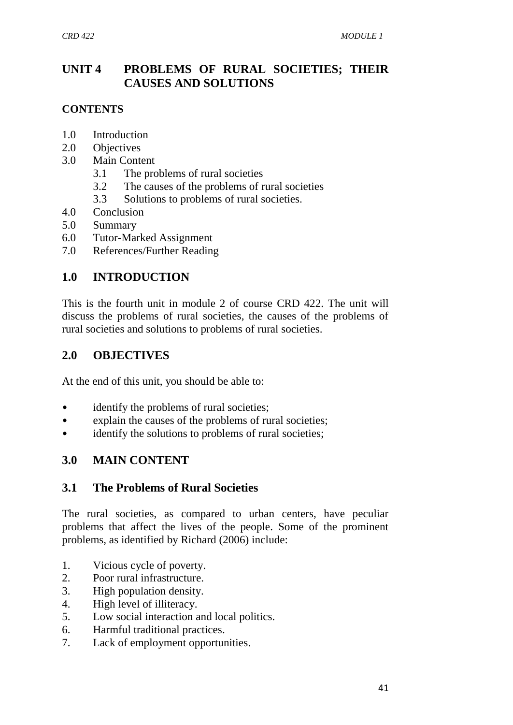# **UNIT 4 PROBLEMS OF RURAL SOCIETIES; THEIR CAUSES AND SOLUTIONS**

## **CONTENTS**

- 1.0 Introduction
- 2.0 Objectives
- 3.0 Main Content
	- 3.1 The problems of rural societies
	- 3.2 The causes of the problems of rural societies
	- 3.3 Solutions to problems of rural societies.
- 4.0 Conclusion
- 5.0 Summary
- 6.0 Tutor-Marked Assignment
- 7.0 References/Further Reading

# **1.0 INTRODUCTION**

This is the fourth unit in module 2 of course CRD 422. The unit will discuss the problems of rural societies, the causes of the problems of rural societies and solutions to problems of rural societies.

## **2.0 OBJECTIVES**

At the end of this unit, you should be able to:

- identify the problems of rural societies;
- explain the causes of the problems of rural societies;
- identify the solutions to problems of rural societies;

# **3.0 MAIN CONTENT**

## **3.1 The Problems of Rural Societies**

The rural societies, as compared to urban centers, have peculiar problems that affect the lives of the people. Some of the prominent problems, as identified by Richard (2006) include:

- 1. Vicious cycle of poverty.
- 2. Poor rural infrastructure.
- 3. High population density.
- 4. High level of illiteracy.
- 5. Low social interaction and local politics.
- 6. Harmful traditional practices.
- 7. Lack of employment opportunities.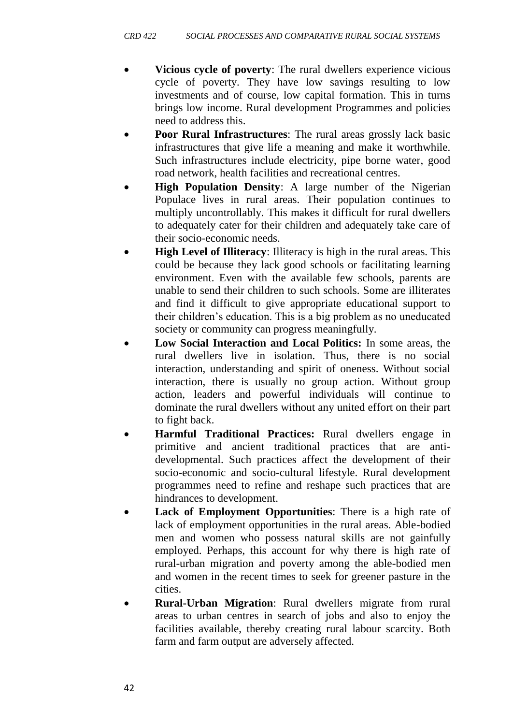- **Vicious cycle of poverty**: The rural dwellers experience vicious cycle of poverty. They have low savings resulting to low investments and of course, low capital formation. This in turns brings low income. Rural development Programmes and policies need to address this.
- **Poor Rural Infrastructures**: The rural areas grossly lack basic infrastructures that give life a meaning and make it worthwhile. Such infrastructures include electricity, pipe borne water, good road network, health facilities and recreational centres.
- **High Population Density**: A large number of the Nigerian Populace lives in rural areas. Their population continues to multiply uncontrollably. This makes it difficult for rural dwellers to adequately cater for their children and adequately take care of their socio-economic needs.
- **High Level of Illiteracy**: Illiteracy is high in the rural areas. This could be because they lack good schools or facilitating learning environment. Even with the available few schools, parents are unable to send their children to such schools. Some are illiterates and find it difficult to give appropriate educational support to their children's education. This is a big problem as no uneducated society or community can progress meaningfully.
- **Low Social Interaction and Local Politics:** In some areas, the rural dwellers live in isolation. Thus, there is no social interaction, understanding and spirit of oneness. Without social interaction, there is usually no group action. Without group action, leaders and powerful individuals will continue to dominate the rural dwellers without any united effort on their part to fight back.
- **Harmful Traditional Practices:** Rural dwellers engage in primitive and ancient traditional practices that are antidevelopmental. Such practices affect the development of their socio-economic and socio-cultural lifestyle. Rural development programmes need to refine and reshape such practices that are hindrances to development.
- **Lack of Employment Opportunities**: There is a high rate of lack of employment opportunities in the rural areas. Able-bodied men and women who possess natural skills are not gainfully employed. Perhaps, this account for why there is high rate of rural-urban migration and poverty among the able-bodied men and women in the recent times to seek for greener pasture in the cities.
- **Rural-Urban Migration**: Rural dwellers migrate from rural areas to urban centres in search of jobs and also to enjoy the facilities available, thereby creating rural labour scarcity. Both farm and farm output are adversely affected.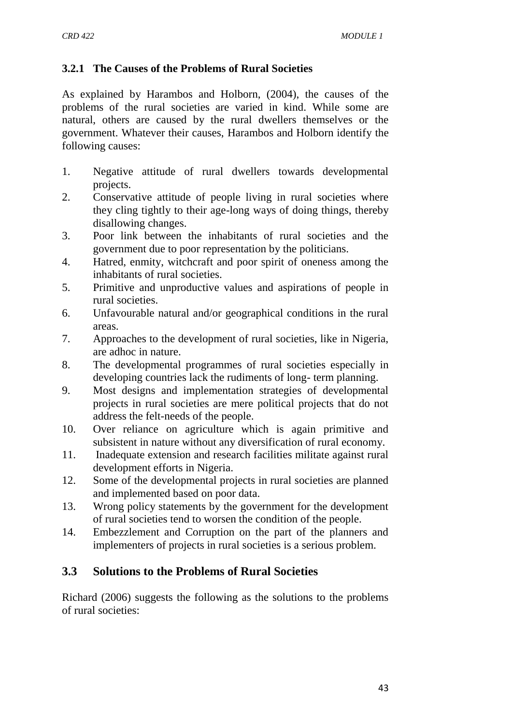#### **3.2.1 The Causes of the Problems of Rural Societies**

As explained by Harambos and Holborn, (2004), the causes of the problems of the rural societies are varied in kind. While some are natural, others are caused by the rural dwellers themselves or the government. Whatever their causes, Harambos and Holborn identify the following causes:

- 1. Negative attitude of rural dwellers towards developmental projects.
- 2. Conservative attitude of people living in rural societies where they cling tightly to their age-long ways of doing things, thereby disallowing changes.
- 3. Poor link between the inhabitants of rural societies and the government due to poor representation by the politicians.
- 4. Hatred, enmity, witchcraft and poor spirit of oneness among the inhabitants of rural societies.
- 5. Primitive and unproductive values and aspirations of people in rural societies.
- 6. Unfavourable natural and/or geographical conditions in the rural areas.
- 7. Approaches to the development of rural societies, like in Nigeria, are adhoc in nature.
- 8. The developmental programmes of rural societies especially in developing countries lack the rudiments of long- term planning.
- 9. Most designs and implementation strategies of developmental projects in rural societies are mere political projects that do not address the felt-needs of the people.
- 10. Over reliance on agriculture which is again primitive and subsistent in nature without any diversification of rural economy.
- 11. Inadequate extension and research facilities militate against rural development efforts in Nigeria.
- 12. Some of the developmental projects in rural societies are planned and implemented based on poor data.
- 13. Wrong policy statements by the government for the development of rural societies tend to worsen the condition of the people.
- 14. Embezzlement and Corruption on the part of the planners and implementers of projects in rural societies is a serious problem.

## **3.3 Solutions to the Problems of Rural Societies**

Richard (2006) suggests the following as the solutions to the problems of rural societies: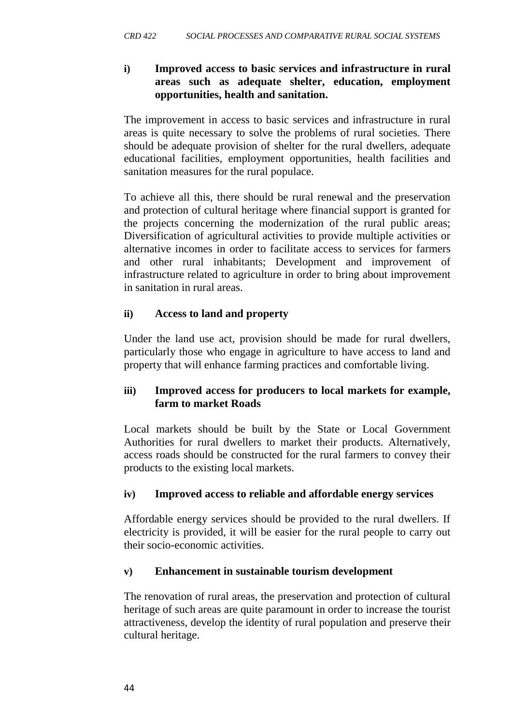#### **i) Improved access to basic services and infrastructure in rural areas such as adequate shelter, education, employment opportunities, health and sanitation.**

The improvement in access to basic services and infrastructure in rural areas is quite necessary to solve the problems of rural societies. There should be adequate provision of shelter for the rural dwellers, adequate educational facilities, employment opportunities, health facilities and sanitation measures for the rural populace.

To achieve all this, there should be rural renewal and the preservation and protection of cultural heritage where financial support is granted for the projects concerning the modernization of the rural public areas; Diversification of agricultural activities to provide multiple activities or alternative incomes in order to facilitate access to services for farmers and other rural inhabitants; Development and improvement of infrastructure related to agriculture in order to bring about improvement in sanitation in rural areas.

#### **ii) Access to land and property**

Under the land use act, provision should be made for rural dwellers, particularly those who engage in agriculture to have access to land and property that will enhance farming practices and comfortable living.

#### **iii) Improved access for producers to local markets for example, farm to market Roads**

Local markets should be built by the State or Local Government Authorities for rural dwellers to market their products. Alternatively, access roads should be constructed for the rural farmers to convey their products to the existing local markets.

#### **iv) Improved access to reliable and affordable energy services**

Affordable energy services should be provided to the rural dwellers. If electricity is provided, it will be easier for the rural people to carry out their socio-economic activities.

#### **v) Enhancement in sustainable tourism development**

The renovation of rural areas, the preservation and protection of cultural heritage of such areas are quite paramount in order to increase the tourist attractiveness, develop the identity of rural population and preserve their cultural heritage.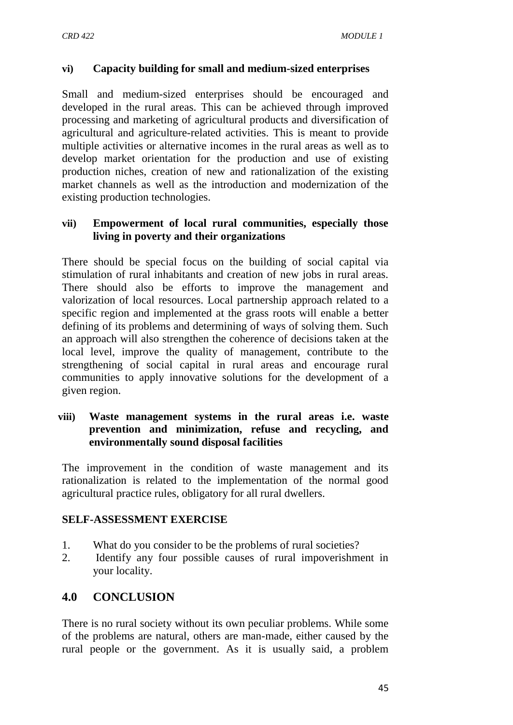#### **vi) Capacity building for small and medium-sized enterprises**

Small and medium-sized enterprises should be encouraged and developed in the rural areas. This can be achieved through improved processing and marketing of agricultural products and diversification of agricultural and agriculture-related activities. This is meant to provide multiple activities or alternative incomes in the rural areas as well as to develop market orientation for the production and use of existing production niches, creation of new and rationalization of the existing market channels as well as the introduction and modernization of the existing production technologies.

#### **vii) Empowerment of local rural communities, especially those living in poverty and their organizations**

There should be special focus on the building of social capital via stimulation of rural inhabitants and creation of new jobs in rural areas. There should also be efforts to improve the management and valorization of local resources. Local partnership approach related to a specific region and implemented at the grass roots will enable a better defining of its problems and determining of ways of solving them. Such an approach will also strengthen the coherence of decisions taken at the local level, improve the quality of management, contribute to the strengthening of social capital in rural areas and encourage rural communities to apply innovative solutions for the development of a given region.

#### **viii) Waste management systems in the rural areas i.e. waste prevention and minimization, refuse and recycling, and environmentally sound disposal facilities**

The improvement in the condition of waste management and its rationalization is related to the implementation of the normal good agricultural practice rules, obligatory for all rural dwellers.

#### **SELF-ASSESSMENT EXERCISE**

- 1. What do you consider to be the problems of rural societies?
- 2. Identify any four possible causes of rural impoverishment in your locality.

# **4.0 CONCLUSION**

There is no rural society without its own peculiar problems. While some of the problems are natural, others are man-made, either caused by the rural people or the government. As it is usually said, a problem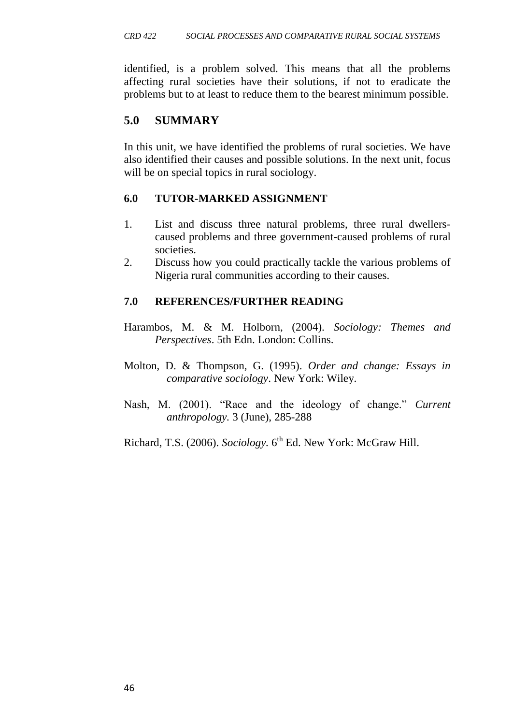identified, is a problem solved. This means that all the problems affecting rural societies have their solutions, if not to eradicate the problems but to at least to reduce them to the bearest minimum possible.

# **5.0 SUMMARY**

In this unit, we have identified the problems of rural societies. We have also identified their causes and possible solutions. In the next unit, focus will be on special topics in rural sociology.

#### **6.0 TUTOR-MARKED ASSIGNMENT**

- 1. List and discuss three natural problems, three rural dwellerscaused problems and three government-caused problems of rural societies.
- 2. Discuss how you could practically tackle the various problems of Nigeria rural communities according to their causes.

#### **7.0 REFERENCES/FURTHER READING**

- Harambos, M. & M. Holborn, (2004). *Sociology: Themes and Perspectives*. 5th Edn. London: Collins.
- Molton, D. & Thompson, G. (1995). *Order and change: Essays in comparative sociology*. New York: Wiley.
- Nash, M. (2001). "Race and the ideology of change." *Current anthropology.* 3 (June), 285-288

Richard, T.S. (2006). *Sociology*. 6<sup>th</sup> Ed. New York: McGraw Hill.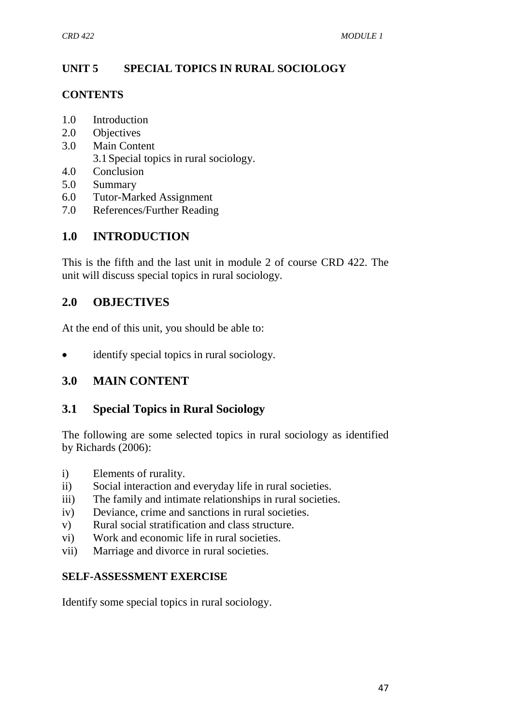# **UNIT 5 SPECIAL TOPICS IN RURAL SOCIOLOGY**

#### **CONTENTS**

- 1.0 Introduction
- 2.0 Objectives
- 3.0 Main Content
	- 3.1Special topics in rural sociology.
- 4.0 Conclusion
- 5.0 Summary
- 6.0 Tutor-Marked Assignment
- 7.0 References/Further Reading

# **1.0 INTRODUCTION**

This is the fifth and the last unit in module 2 of course CRD 422. The unit will discuss special topics in rural sociology.

# **2.0 OBJECTIVES**

At the end of this unit, you should be able to:

• identify special topics in rural sociology.

# **3.0 MAIN CONTENT**

## **3.1 Special Topics in Rural Sociology**

The following are some selected topics in rural sociology as identified by Richards (2006):

- i) Elements of rurality.
- ii) Social interaction and everyday life in rural societies.
- iii) The family and intimate relationships in rural societies.
- iv) Deviance, crime and sanctions in rural societies.
- v) Rural social stratification and class structure.
- vi) Work and economic life in rural societies.
- vii) Marriage and divorce in rural societies.

## **SELF-ASSESSMENT EXERCISE**

Identify some special topics in rural sociology.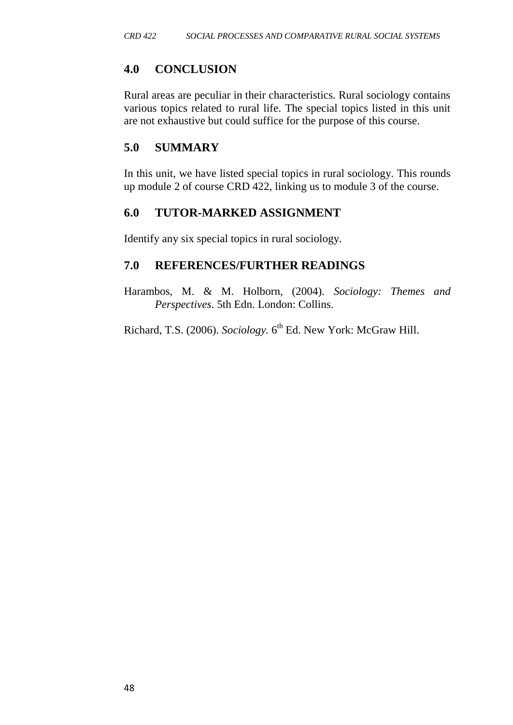# **4.0 CONCLUSION**

Rural areas are peculiar in their characteristics. Rural sociology contains various topics related to rural life. The special topics listed in this unit are not exhaustive but could suffice for the purpose of this course.

# **5.0 SUMMARY**

In this unit, we have listed special topics in rural sociology. This rounds up module 2 of course CRD 422, linking us to module 3 of the course.

## **6.0 TUTOR-MARKED ASSIGNMENT**

Identify any six special topics in rural sociology.

## **7.0 REFERENCES/FURTHER READINGS**

Harambos, M. & M. Holborn, (2004). *Sociology: Themes and Perspectives*. 5th Edn. London: Collins.

Richard, T.S. (2006). *Sociology*. 6<sup>th</sup> Ed. New York: McGraw Hill.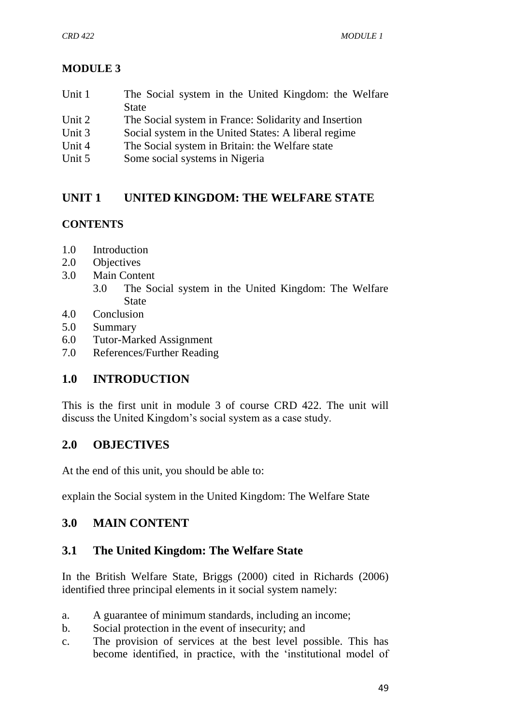# **MODULE 3**

- Unit 1 The Social system in the United Kingdom: the Welfare State
- Unit 2 The Social system in France: Solidarity and Insertion
- Unit 3 Social system in the United States: A liberal regime
- Unit 4 The Social system in Britain: the Welfare state
- Unit 5 Some social systems in Nigeria

# **UNIT 1 UNITED KINGDOM: THE WELFARE STATE**

# **CONTENTS**

- 1.0 Introduction
- 2.0 Objectives
- 3.0 Main Content
	- 3.0 The Social system in the United Kingdom: The Welfare **State**
- 4.0 Conclusion
- 5.0 Summary
- 6.0 Tutor-Marked Assignment
- 7.0 References/Further Reading

# **1.0 INTRODUCTION**

This is the first unit in module 3 of course CRD 422. The unit will discuss the United Kingdom's social system as a case study.

## **2.0 OBJECTIVES**

At the end of this unit, you should be able to:

explain the Social system in the United Kingdom: The Welfare State

# **3.0 MAIN CONTENT**

## **3.1 The United Kingdom: The Welfare State**

In the British Welfare State, Briggs (2000) cited in Richards (2006) identified three principal elements in it social system namely:

- a. A guarantee of minimum standards, including an income;
- b. Social protection in the event of insecurity; and
- c. The provision of services at the best level possible. This has become identified, in practice, with the 'institutional model of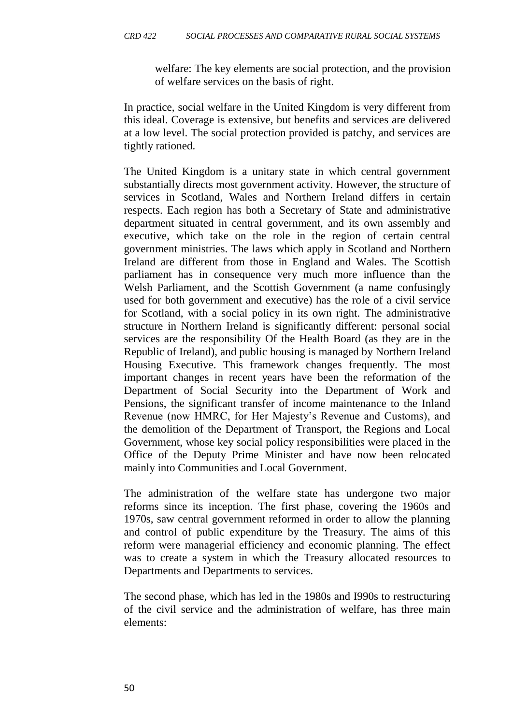welfare: The key elements are social protection, and the provision of welfare services on the basis of right.

In practice, social welfare in the United Kingdom is very different from this ideal. Coverage is extensive, but benefits and services are delivered at a low level. The social protection provided is patchy, and services are tightly rationed.

The United Kingdom is a unitary state in which central government substantially directs most government activity. However, the structure of services in Scotland, Wales and Northern Ireland differs in certain respects. Each region has both a Secretary of State and administrative department situated in central government, and its own assembly and executive, which take on the role in the region of certain central government ministries. The laws which apply in Scotland and Northern Ireland are different from those in England and Wales. The Scottish parliament has in consequence very much more influence than the Welsh Parliament, and the Scottish Government (a name confusingly used for both government and executive) has the role of a civil service for Scotland, with a social policy in its own right. The administrative structure in Northern Ireland is significantly different: personal social services are the responsibility Of the Health Board (as they are in the Republic of Ireland), and public housing is managed by Northern Ireland Housing Executive. This framework changes frequently. The most important changes in recent years have been the reformation of the Department of Social Security into the Department of Work and Pensions, the significant transfer of income maintenance to the Inland Revenue (now HMRC, for Her Majesty's Revenue and Customs), and the demolition of the Department of Transport, the Regions and Local Government, whose key social policy responsibilities were placed in the Office of the Deputy Prime Minister and have now been relocated mainly into Communities and Local Government.

The administration of the welfare state has undergone two major reforms since its inception. The first phase, covering the 1960s and 1970s, saw central government reformed in order to allow the planning and control of public expenditure by the Treasury. The aims of this reform were managerial efficiency and economic planning. The effect was to create a system in which the Treasury allocated resources to Departments and Departments to services.

The second phase, which has led in the 1980s and I990s to restructuring of the civil service and the administration of welfare, has three main elements: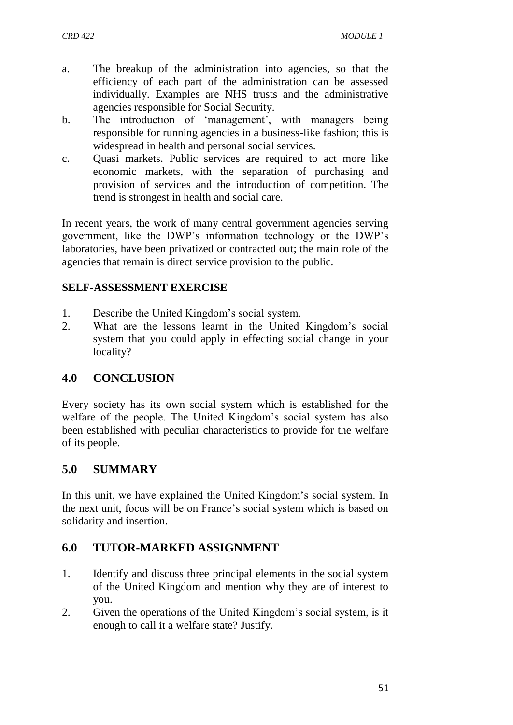- a. The breakup of the administration into agencies, so that the efficiency of each part of the administration can be assessed individually. Examples are NHS trusts and the administrative agencies responsible for Social Security.
- b. The introduction of 'management', with managers being responsible for running agencies in a business-like fashion; this is widespread in health and personal social services.
- c. Quasi markets. Public services are required to act more like economic markets, with the separation of purchasing and provision of services and the introduction of competition. The trend is strongest in health and social care.

In recent years, the work of many central government agencies serving government, like the DWP's information technology or the DWP's laboratories, have been privatized or contracted out; the main role of the agencies that remain is direct service provision to the public.

## **SELF-ASSESSMENT EXERCISE**

- 1. Describe the United Kingdom's social system.
- 2. What are the lessons learnt in the United Kingdom's social system that you could apply in effecting social change in your locality?

## **4.0 CONCLUSION**

Every society has its own social system which is established for the welfare of the people. The United Kingdom's social system has also been established with peculiar characteristics to provide for the welfare of its people.

## **5.0 SUMMARY**

In this unit, we have explained the United Kingdom's social system. In the next unit, focus will be on France's social system which is based on solidarity and insertion.

## **6.0 TUTOR-MARKED ASSIGNMENT**

- 1. Identify and discuss three principal elements in the social system of the United Kingdom and mention why they are of interest to you.
- 2. Given the operations of the United Kingdom's social system, is it enough to call it a welfare state? Justify.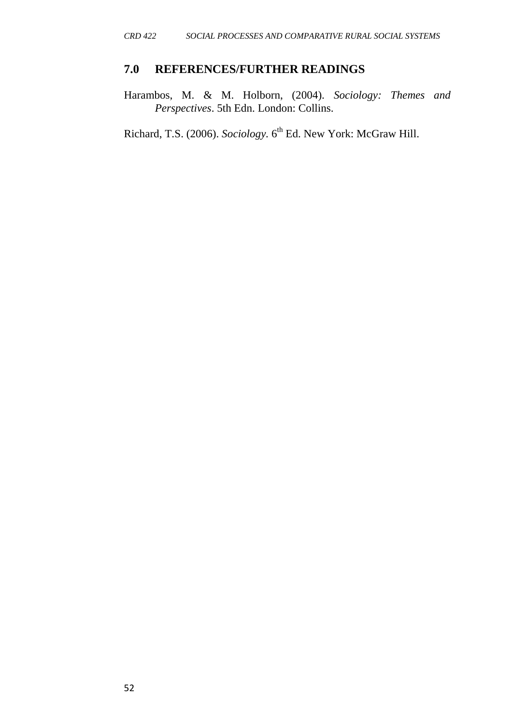#### **7.0 REFERENCES/FURTHER READINGS**

Harambos, M. & M. Holborn, (2004). *Sociology: Themes and Perspectives*. 5th Edn. London: Collins.

Richard, T.S. (2006). *Sociology*. 6<sup>th</sup> Ed. New York: McGraw Hill.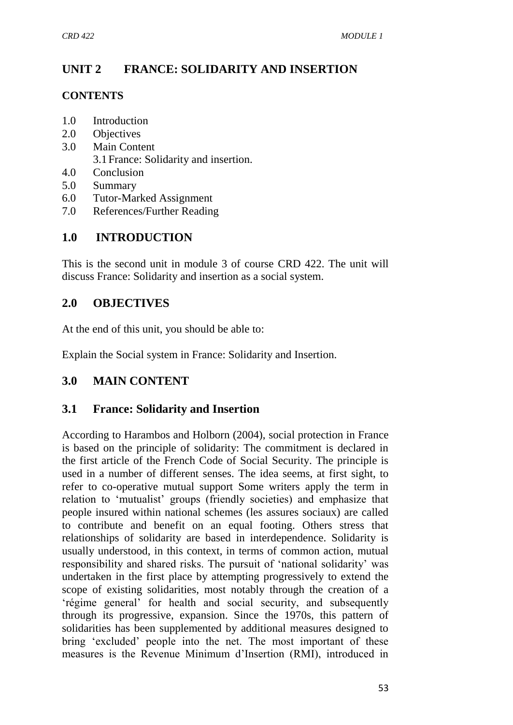# **UNIT 2 FRANCE: SOLIDARITY AND INSERTION**

#### **CONTENTS**

- 1.0 Introduction
- 2.0 Objectives
- 3.0 Main Content 3.1France: Solidarity and insertion.
- 4.0 Conclusion
- 5.0 Summary
- 6.0 Tutor-Marked Assignment
- 7.0 References/Further Reading

# **1.0 INTRODUCTION**

This is the second unit in module 3 of course CRD 422. The unit will discuss France: Solidarity and insertion as a social system.

# **2.0 OBJECTIVES**

At the end of this unit, you should be able to:

Explain the Social system in France: Solidarity and Insertion.

# **3.0 MAIN CONTENT**

## **3.1 France: Solidarity and Insertion**

According to Harambos and Holborn (2004), social protection in France is based on the principle of solidarity: The commitment is declared in the first article of the French Code of Social Security. The principle is used in a number of different senses. The idea seems, at first sight, to refer to co-operative mutual support Some writers apply the term in relation to 'mutualist' groups (friendly societies) and emphasize that people insured within national schemes (les assures sociaux) are called to contribute and benefit on an equal footing. Others stress that relationships of solidarity are based in interdependence. Solidarity is usually understood, in this context, in terms of common action, mutual responsibility and shared risks. The pursuit of 'national solidarity' was undertaken in the first place by attempting progressively to extend the scope of existing solidarities, most notably through the creation of a 'régime general' for health and social security, and subsequently through its progressive, expansion. Since the 1970s, this pattern of solidarities has been supplemented by additional measures designed to bring 'excluded' people into the net. The most important of these measures is the Revenue Minimum d'Insertion (RMI), introduced in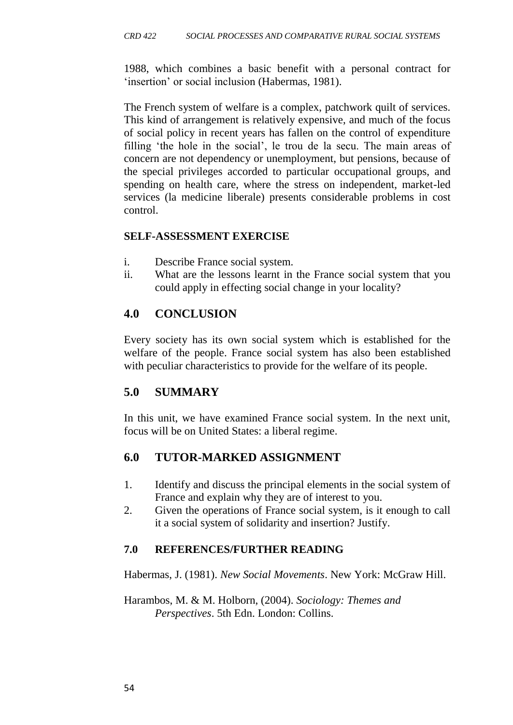1988, which combines a basic benefit with a personal contract for 'insertion' or social inclusion (Habermas, 1981).

The French system of welfare is a complex, patchwork quilt of services. This kind of arrangement is relatively expensive, and much of the focus of social policy in recent years has fallen on the control of expenditure filling 'the hole in the social', le trou de la secu. The main areas of concern are not dependency or unemployment, but pensions, because of the special privileges accorded to particular occupational groups, and spending on health care, where the stress on independent, market-led services (la medicine liberale) presents considerable problems in cost control.

#### **SELF-ASSESSMENT EXERCISE**

- i. Describe France social system.
- ii. What are the lessons learnt in the France social system that you could apply in effecting social change in your locality?

## **4.0 CONCLUSION**

Every society has its own social system which is established for the welfare of the people. France social system has also been established with peculiar characteristics to provide for the welfare of its people.

## **5.0 SUMMARY**

In this unit, we have examined France social system. In the next unit, focus will be on United States: a liberal regime.

## **6.0 TUTOR-MARKED ASSIGNMENT**

- 1. Identify and discuss the principal elements in the social system of France and explain why they are of interest to you.
- 2. Given the operations of France social system, is it enough to call it a social system of solidarity and insertion? Justify.

#### **7.0 REFERENCES/FURTHER READING**

Habermas, J. (1981). *New Social Movements*. New York: McGraw Hill.

Harambos, M. & M. Holborn, (2004). *Sociology: Themes and Perspectives*. 5th Edn. London: Collins.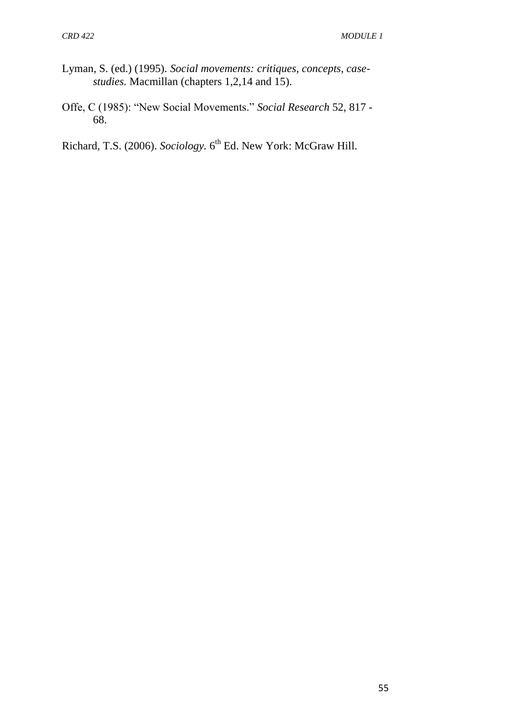- Lyman, S. (ed.) (1995). *Social movements: critiques, concepts, casestudies.* Macmillan (chapters 1,2,14 and 15).
- Offe, C (1985): "New Social Movements." *Social Research* 52, 817 68.

Richard, T.S. (2006). *Sociology*. 6<sup>th</sup> Ed. New York: McGraw Hill.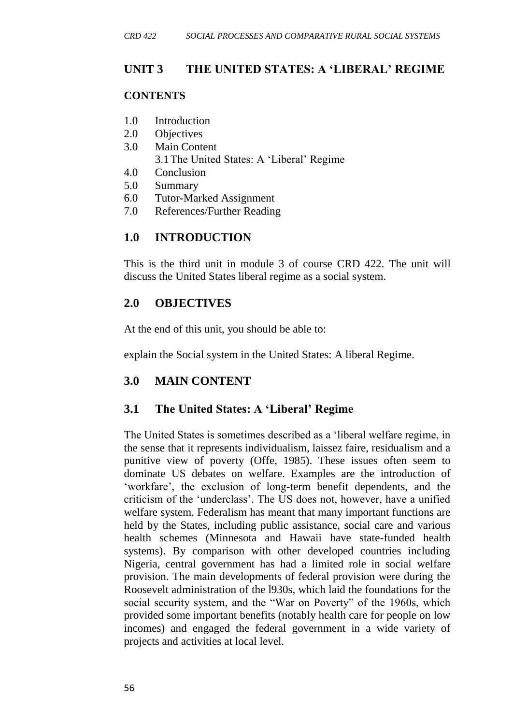## **UNIT 3 THE UNITED STATES: A 'LIBERAL' REGIME**

#### **CONTENTS**

- 1.0 Introduction
- 2.0 Objectives
- 3.0 Main Content
	- 3.1The United States: A 'Liberal' Regime
- 4.0 Conclusion
- 5.0 Summary
- 6.0 Tutor-Marked Assignment
- 7.0 References/Further Reading

# **1.0 INTRODUCTION**

This is the third unit in module 3 of course CRD 422. The unit will discuss the United States liberal regime as a social system.

# **2.0 OBJECTIVES**

At the end of this unit, you should be able to:

explain the Social system in the United States: A liberal Regime.

# **3.0 MAIN CONTENT**

## **3.1 The United States: A 'Liberal' Regime**

The United States is sometimes described as a 'liberal welfare regime, in the sense that it represents individualism, laissez faire, residualism and a punitive view of poverty (Offe, 1985). These issues often seem to dominate US debates on welfare. Examples are the introduction of 'workfare', the exclusion of long-term benefit dependents, and the criticism of the 'underclass'. The US does not, however, have a unified welfare system. Federalism has meant that many important functions are held by the States, including public assistance, social care and various health schemes (Minnesota and Hawaii have state-funded health systems). By comparison with other developed countries including Nigeria, central government has had a limited role in social welfare provision. The main developments of federal provision were during the Roosevelt administration of the l930s, which laid the foundations for the social security system, and the "War on Poverty" of the 1960s, which provided some important benefits (notably health care for people on low incomes) and engaged the federal government in a wide variety of projects and activities at local level.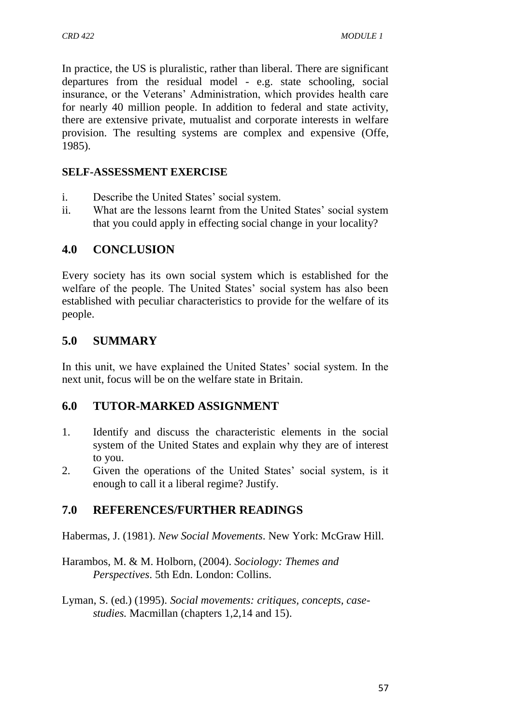In practice, the US is pluralistic, rather than liberal. There are significant departures from the residual model - e.g. state schooling, social insurance, or the Veterans' Administration, which provides health care for nearly 40 million people. In addition to federal and state activity, there are extensive private, mutualist and corporate interests in welfare provision. The resulting systems are complex and expensive (Offe, 1985).

#### **SELF-ASSESSMENT EXERCISE**

- i. Describe the United States' social system.
- ii. What are the lessons learnt from the United States' social system that you could apply in effecting social change in your locality?

# **4.0 CONCLUSION**

Every society has its own social system which is established for the welfare of the people. The United States' social system has also been established with peculiar characteristics to provide for the welfare of its people.

## **5.0 SUMMARY**

In this unit, we have explained the United States' social system. In the next unit, focus will be on the welfare state in Britain.

## **6.0 TUTOR-MARKED ASSIGNMENT**

- 1. Identify and discuss the characteristic elements in the social system of the United States and explain why they are of interest to you.
- 2. Given the operations of the United States' social system, is it enough to call it a liberal regime? Justify.

# **7.0 REFERENCES/FURTHER READINGS**

Habermas, J. (1981). *New Social Movements*. New York: McGraw Hill.

Harambos, M. & M. Holborn, (2004). *Sociology: Themes and Perspectives*. 5th Edn. London: Collins.

Lyman, S. (ed.) (1995). *Social movements: critiques, concepts, casestudies.* Macmillan (chapters 1,2,14 and 15).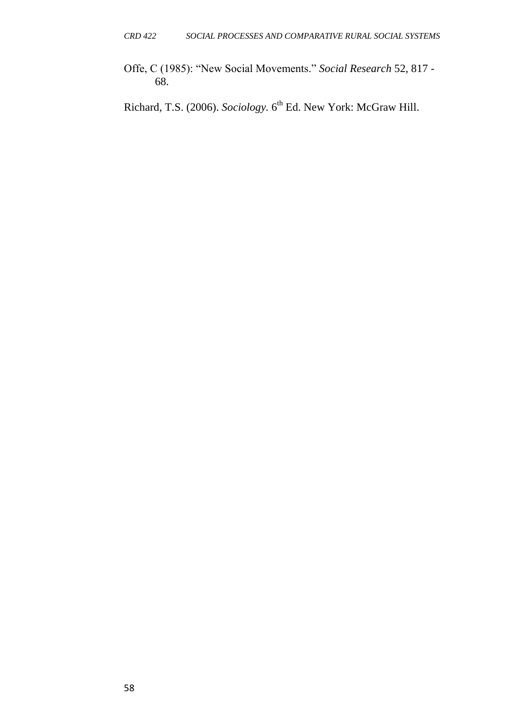Offe, C (1985): "New Social Movements." *Social Research* 52, 817 - 68.

Richard, T.S. (2006). *Sociology*. 6<sup>th</sup> Ed. New York: McGraw Hill.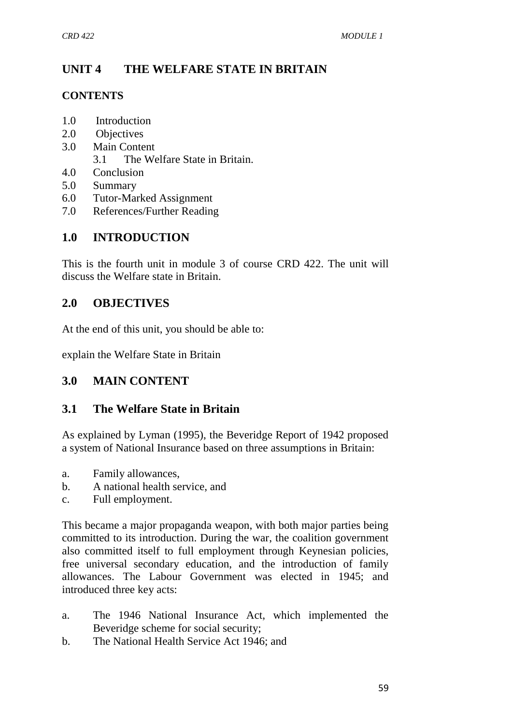# **UNIT 4 THE WELFARE STATE IN BRITAIN**

#### **CONTENTS**

- 1.0 Introduction
- 2.0 Objectives
- 3.0 Main Content
	- 3.1 The Welfare State in Britain.
- 4.0 Conclusion
- 5.0 Summary
- 6.0 Tutor-Marked Assignment
- 7.0 References/Further Reading

# **1.0 INTRODUCTION**

This is the fourth unit in module 3 of course CRD 422. The unit will discuss the Welfare state in Britain.

# **2.0 OBJECTIVES**

At the end of this unit, you should be able to:

explain the Welfare State in Britain

# **3.0 MAIN CONTENT**

## **3.1 The Welfare State in Britain**

As explained by Lyman (1995), the Beveridge Report of 1942 proposed a system of National Insurance based on three assumptions in Britain:

- a. Family allowances,
- b. A national health service, and
- c. Full employment.

This became a major propaganda weapon, with both major parties being committed to its introduction. During the war, the coalition government also committed itself to full employment through Keynesian policies, free universal secondary education, and the introduction of family allowances. The Labour Government was elected in 1945; and introduced three key acts:

- a. The 1946 National Insurance Act, which implemented the Beveridge scheme for social security;
- b. The National Health Service Act 1946; and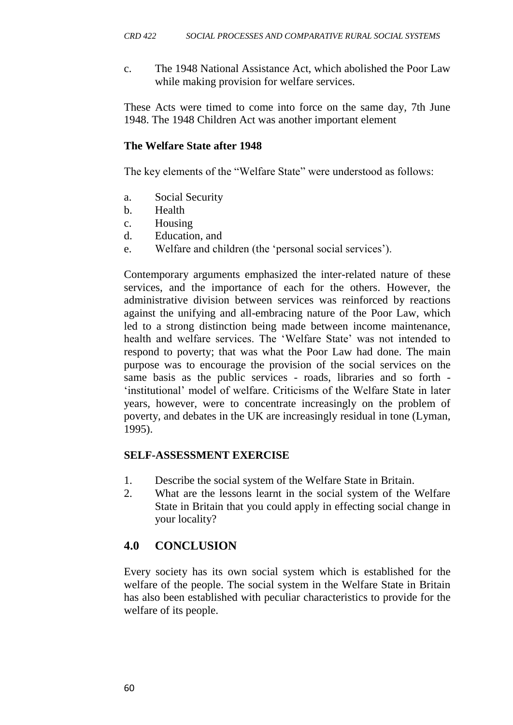c. The 1948 National Assistance Act, which abolished the Poor Law while making provision for welfare services.

These Acts were timed to come into force on the same day, 7th June 1948. The 1948 Children Act was another important element

#### **The Welfare State after 1948**

The key elements of the "Welfare State" were understood as follows:

- a. Social Security
- b. Health
- c. Housing
- d. Education, and
- e. Welfare and children (the 'personal social services').

Contemporary arguments emphasized the inter-related nature of these services, and the importance of each for the others. However, the administrative division between services was reinforced by reactions against the unifying and all-embracing nature of the Poor Law, which led to a strong distinction being made between income maintenance, health and welfare services. The 'Welfare State' was not intended to respond to poverty; that was what the Poor Law had done. The main purpose was to encourage the provision of the social services on the same basis as the public services - roads, libraries and so forth - 'institutional' model of welfare. Criticisms of the Welfare State in later years, however, were to concentrate increasingly on the problem of poverty, and debates in the UK are increasingly residual in tone (Lyman, 1995).

#### **SELF-ASSESSMENT EXERCISE**

- 1. Describe the social system of the Welfare State in Britain.
- 2. What are the lessons learnt in the social system of the Welfare State in Britain that you could apply in effecting social change in your locality?

## **4.0 CONCLUSION**

Every society has its own social system which is established for the welfare of the people. The social system in the Welfare State in Britain has also been established with peculiar characteristics to provide for the welfare of its people.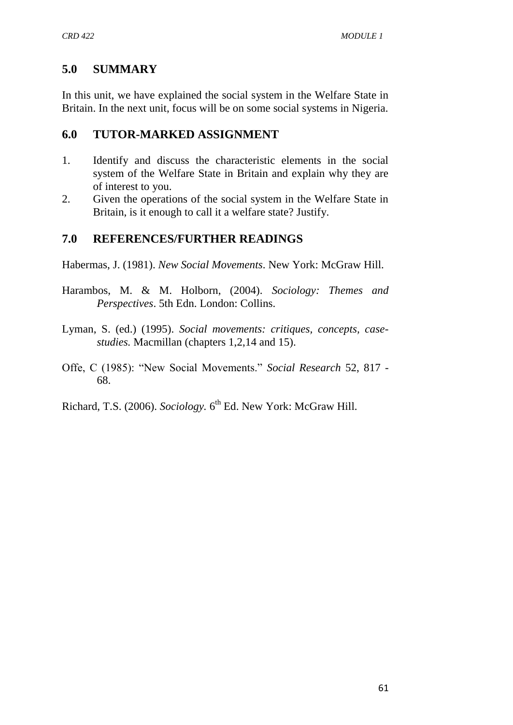# **5.0 SUMMARY**

In this unit, we have explained the social system in the Welfare State in Britain. In the next unit, focus will be on some social systems in Nigeria.

## **6.0 TUTOR-MARKED ASSIGNMENT**

- 1. Identify and discuss the characteristic elements in the social system of the Welfare State in Britain and explain why they are of interest to you.
- 2. Given the operations of the social system in the Welfare State in Britain, is it enough to call it a welfare state? Justify.

# **7.0 REFERENCES/FURTHER READINGS**

Habermas, J. (1981). *New Social Movements*. New York: McGraw Hill.

- Harambos, M. & M. Holborn, (2004). *Sociology: Themes and Perspectives*. 5th Edn. London: Collins.
- Lyman, S. (ed.) (1995). *Social movements: critiques, concepts, casestudies.* Macmillan (chapters 1,2,14 and 15).
- Offe, C (1985): "New Social Movements." *Social Research* 52, 817 68.

Richard, T.S. (2006). *Sociology*. 6<sup>th</sup> Ed. New York: McGraw Hill.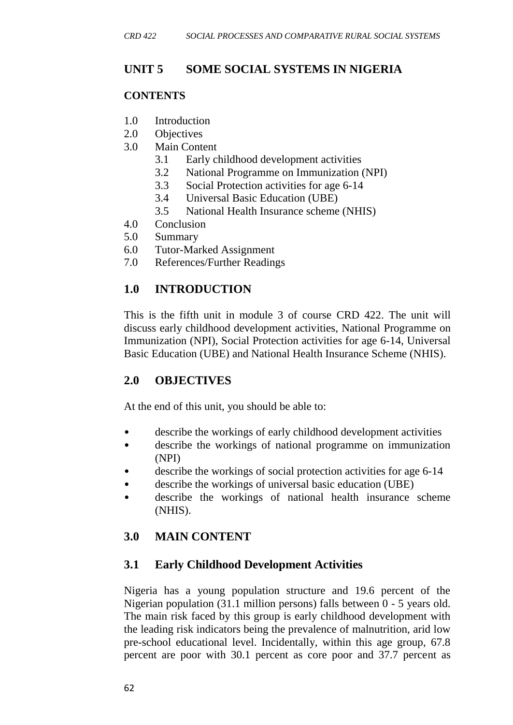# **UNIT 5 SOME SOCIAL SYSTEMS IN NIGERIA**

#### **CONTENTS**

- 1.0 Introduction
- 2.0 Objectives
- 3.0 Main Content
	- 3.1 Early childhood development activities
	- 3.2 National Programme on Immunization (NPI)
	- 3.3 Social Protection activities for age 6-14
	- 3.4 Universal Basic Education (UBE)
	- 3.5 National Health Insurance scheme (NHIS)
- 4.0 Conclusion
- 5.0 Summary
- 6.0 Tutor-Marked Assignment
- 7.0 References/Further Readings

# **1.0 INTRODUCTION**

This is the fifth unit in module 3 of course CRD 422. The unit will discuss early childhood development activities, National Programme on Immunization (NPI), Social Protection activities for age 6-14, Universal Basic Education (UBE) and National Health Insurance Scheme (NHIS).

## **2.0 OBJECTIVES**

At the end of this unit, you should be able to:

- describe the workings of early childhood development activities
- describe the workings of national programme on immunization (NPI)
- describe the workings of social protection activities for age 6-14
- describe the workings of universal basic education (UBE)
- describe the workings of national health insurance scheme (NHIS).

# **3.0 MAIN CONTENT**

## **3.1 Early Childhood Development Activities**

Nigeria has a young population structure and 19.6 percent of the Nigerian population (31.1 million persons) falls between 0 - 5 years old. The main risk faced by this group is early childhood development with the leading risk indicators being the prevalence of malnutrition, arid low pre-school educational level. Incidentally, within this age group, 67.8 percent are poor with 30.1 percent as core poor and 37.7 percent as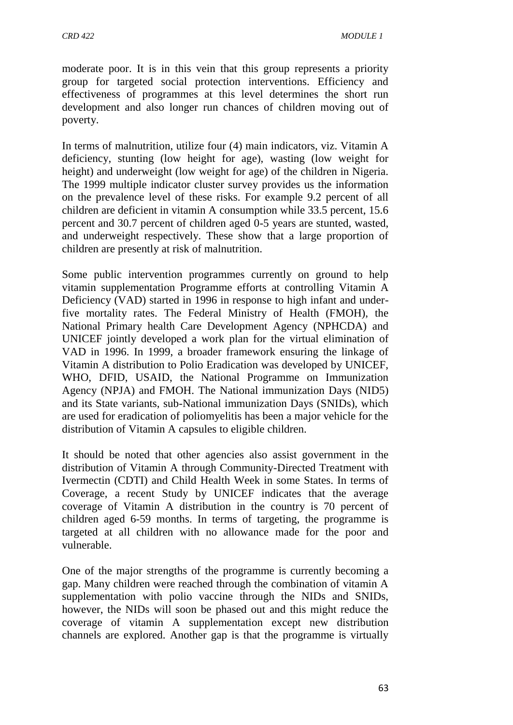moderate poor. It is in this vein that this group represents a priority group for targeted social protection interventions. Efficiency and effectiveness of programmes at this level determines the short run development and also longer run chances of children moving out of poverty.

In terms of malnutrition, utilize four (4) main indicators, viz. Vitamin A deficiency, stunting (low height for age), wasting (low weight for height) and underweight (low weight for age) of the children in Nigeria. The 1999 multiple indicator cluster survey provides us the information on the prevalence level of these risks. For example 9.2 percent of all children are deficient in vitamin A consumption while 33.5 percent, 15.6 percent and 30.7 percent of children aged 0-5 years are stunted, wasted, and underweight respectively. These show that a large proportion of children are presently at risk of malnutrition.

Some public intervention programmes currently on ground to help vitamin supplementation Programme efforts at controlling Vitamin A Deficiency (VAD) started in 1996 in response to high infant and underfive mortality rates. The Federal Ministry of Health (FMOH), the National Primary health Care Development Agency (NPHCDA) and UNICEF jointly developed a work plan for the virtual elimination of VAD in 1996. In 1999, a broader framework ensuring the linkage of Vitamin A distribution to Polio Eradication was developed by UNICEF, WHO, DFID, USAID, the National Programme on Immunization Agency (NPJA) and FMOH. The National immunization Days (NID5) and its State variants, sub-National immunization Days (SNIDs), which are used for eradication of poliomyelitis has been a major vehicle for the distribution of Vitamin A capsules to eligible children.

It should be noted that other agencies also assist government in the distribution of Vitamin A through Community-Directed Treatment with Ivermectin (CDTI) and Child Health Week in some States. In terms of Coverage, a recent Study by UNICEF indicates that the average coverage of Vitamin A distribution in the country is 70 percent of children aged 6-59 months. In terms of targeting, the programme is targeted at all children with no allowance made for the poor and vulnerable.

One of the major strengths of the programme is currently becoming a gap. Many children were reached through the combination of vitamin A supplementation with polio vaccine through the NIDs and SNIDs, however, the NIDs will soon be phased out and this might reduce the coverage of vitamin A supplementation except new distribution channels are explored. Another gap is that the programme is virtually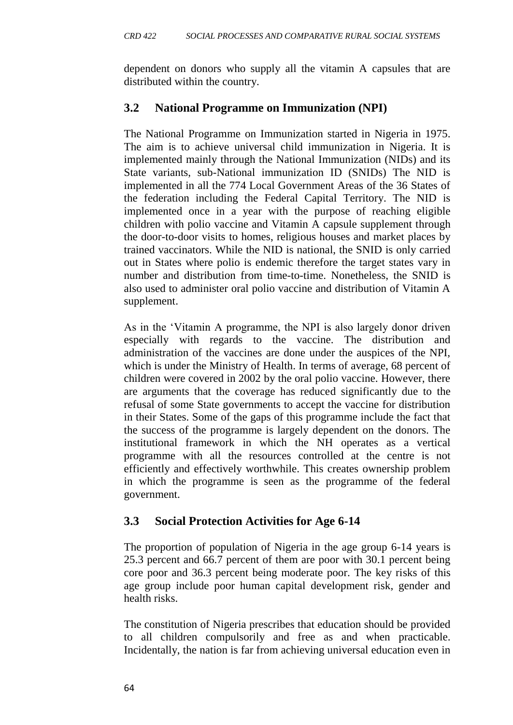dependent on donors who supply all the vitamin A capsules that are distributed within the country.

#### **3.2 National Programme on Immunization (NPI)**

The National Programme on Immunization started in Nigeria in 1975. The aim is to achieve universal child immunization in Nigeria. It is implemented mainly through the National Immunization (NIDs) and its State variants, sub-National immunization ID (SNIDs) The NID is implemented in all the 774 Local Government Areas of the 36 States of the federation including the Federal Capital Territory. The NID is implemented once in a year with the purpose of reaching eligible children with polio vaccine and Vitamin A capsule supplement through the door-to-door visits to homes, religious houses and market places by trained vaccinators. While the NID is national, the SNID is only carried out in States where polio is endemic therefore the target states vary in number and distribution from time-to-time. Nonetheless, the SNID is also used to administer oral polio vaccine and distribution of Vitamin A supplement.

As in the 'Vitamin A programme, the NPI is also largely donor driven especially with regards to the vaccine. The distribution and administration of the vaccines are done under the auspices of the NPI, which is under the Ministry of Health. In terms of average, 68 percent of children were covered in 2002 by the oral polio vaccine. However, there are arguments that the coverage has reduced significantly due to the refusal of some State governments to accept the vaccine for distribution in their States. Some of the gaps of this programme include the fact that the success of the programme is largely dependent on the donors. The institutional framework in which the NH operates as a vertical programme with all the resources controlled at the centre is not efficiently and effectively worthwhile. This creates ownership problem in which the programme is seen as the programme of the federal government.

#### **3.3 Social Protection Activities for Age 6-14**

The proportion of population of Nigeria in the age group 6-14 years is 25.3 percent and 66.7 percent of them are poor with 30.1 percent being core poor and 36.3 percent being moderate poor. The key risks of this age group include poor human capital development risk, gender and health risks.

The constitution of Nigeria prescribes that education should be provided to all children compulsorily and free as and when practicable. Incidentally, the nation is far from achieving universal education even in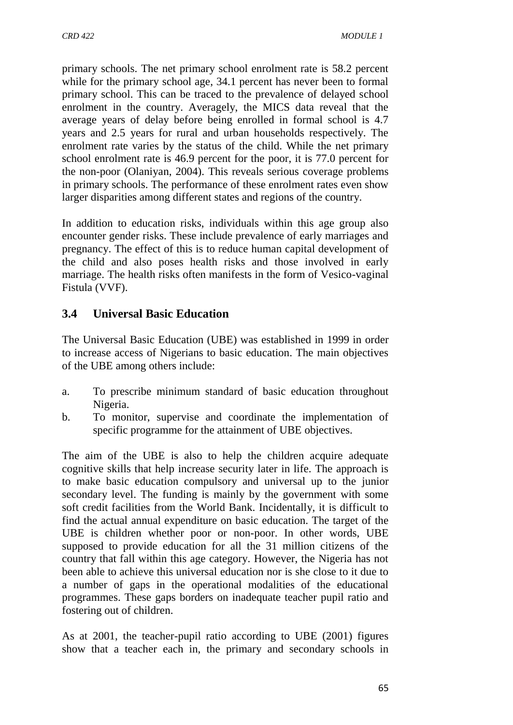primary schools. The net primary school enrolment rate is 58.2 percent while for the primary school age, 34.1 percent has never been to formal primary school. This can be traced to the prevalence of delayed school enrolment in the country. Averagely, the MICS data reveal that the average years of delay before being enrolled in formal school is 4.7 years and 2.5 years for rural and urban households respectively. The enrolment rate varies by the status of the child. While the net primary school enrolment rate is 46.9 percent for the poor, it is 77.0 percent for the non-poor (Olaniyan, 2004). This reveals serious coverage problems in primary schools. The performance of these enrolment rates even show larger disparities among different states and regions of the country.

In addition to education risks, individuals within this age group also encounter gender risks. These include prevalence of early marriages and pregnancy. The effect of this is to reduce human capital development of the child and also poses health risks and those involved in early marriage. The health risks often manifests in the form of Vesico-vaginal Fistula (VVF).

# **3.4 Universal Basic Education**

The Universal Basic Education (UBE) was established in 1999 in order to increase access of Nigerians to basic education. The main objectives of the UBE among others include:

- a. To prescribe minimum standard of basic education throughout Nigeria.
- b. To monitor, supervise and coordinate the implementation of specific programme for the attainment of UBE objectives.

The aim of the UBE is also to help the children acquire adequate cognitive skills that help increase security later in life. The approach is to make basic education compulsory and universal up to the junior secondary level. The funding is mainly by the government with some soft credit facilities from the World Bank. Incidentally, it is difficult to find the actual annual expenditure on basic education. The target of the UBE is children whether poor or non-poor. In other words, UBE supposed to provide education for all the 31 million citizens of the country that fall within this age category. However, the Nigeria has not been able to achieve this universal education nor is she close to it due to a number of gaps in the operational modalities of the educational programmes. These gaps borders on inadequate teacher pupil ratio and fostering out of children.

As at 2001, the teacher-pupil ratio according to UBE (2001) figures show that a teacher each in, the primary and secondary schools in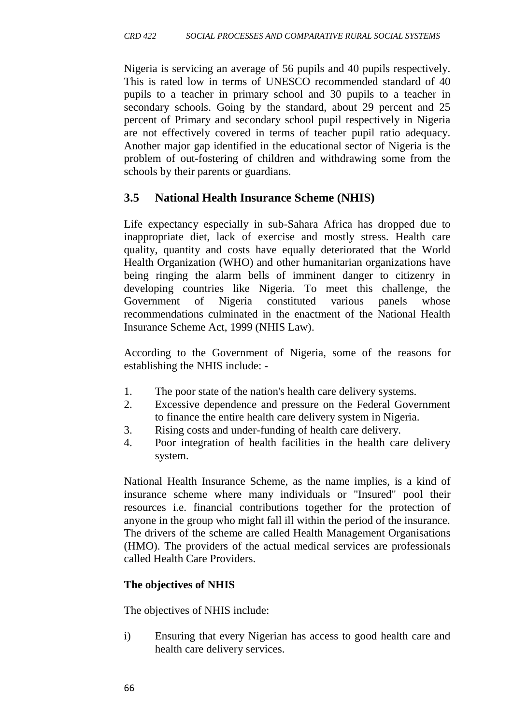Nigeria is servicing an average of 56 pupils and 40 pupils respectively. This is rated low in terms of UNESCO recommended standard of 40 pupils to a teacher in primary school and 30 pupils to a teacher in secondary schools. Going by the standard, about 29 percent and 25 percent of Primary and secondary school pupil respectively in Nigeria are not effectively covered in terms of teacher pupil ratio adequacy. Another major gap identified in the educational sector of Nigeria is the problem of out-fostering of children and withdrawing some from the schools by their parents or guardians.

# **3.5 National Health Insurance Scheme (NHIS)**

Life expectancy especially in sub-Sahara Africa has dropped due to inappropriate diet, lack of exercise and mostly stress. Health care quality, quantity and costs have equally deteriorated that the World Health Organization (WHO) and other humanitarian organizations have being ringing the alarm bells of imminent danger to citizenry in developing countries like Nigeria. To meet this challenge, the Government of Nigeria constituted various panels whose recommendations culminated in the enactment of the National Health Insurance Scheme Act, 1999 (NHIS Law).

According to the Government of Nigeria, some of the reasons for establishing the NHIS include: -

- 1. The poor state of the nation's health care delivery systems.
- 2. Excessive dependence and pressure on the Federal Government to finance the entire health care delivery system in Nigeria.
- 3. Rising costs and under-funding of health care delivery.
- 4. Poor integration of health facilities in the health care delivery system.

National Health Insurance Scheme, as the name implies, is a kind of insurance scheme where many individuals or "Insured" pool their resources i.e. financial contributions together for the protection of anyone in the group who might fall ill within the period of the insurance. The drivers of the scheme are called Health Management Organisations (HMO). The providers of the actual medical services are professionals called Health Care Providers.

## **The objectives of NHIS**

The objectives of NHIS include:

i) Ensuring that every Nigerian has access to good health care and health care delivery services.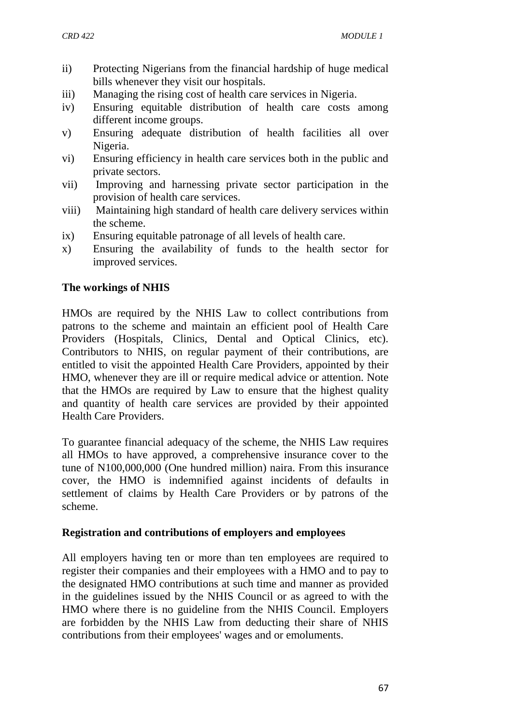- ii) Protecting Nigerians from the financial hardship of huge medical bills whenever they visit our hospitals.
- iii) Managing the rising cost of health care services in Nigeria.
- iv) Ensuring equitable distribution of health care costs among different income groups.
- v) Ensuring adequate distribution of health facilities all over Nigeria.
- vi) Ensuring efficiency in health care services both in the public and private sectors.
- vii) Improving and harnessing private sector participation in the provision of health care services.
- viii) Maintaining high standard of health care delivery services within the scheme.
- ix) Ensuring equitable patronage of all levels of health care.
- x) Ensuring the availability of funds to the health sector for improved services.

#### **The workings of NHIS**

HMOs are required by the NHIS Law to collect contributions from patrons to the scheme and maintain an efficient pool of Health Care Providers (Hospitals, Clinics, Dental and Optical Clinics, etc). Contributors to NHIS, on regular payment of their contributions, are entitled to visit the appointed Health Care Providers, appointed by their HMO, whenever they are ill or require medical advice or attention. Note that the HMOs are required by Law to ensure that the highest quality and quantity of health care services are provided by their appointed Health Care Providers.

To guarantee financial adequacy of the scheme, the NHIS Law requires all HMOs to have approved, a comprehensive insurance cover to the tune of N100,000,000 (One hundred million) naira. From this insurance cover, the HMO is indemnified against incidents of defaults in settlement of claims by Health Care Providers or by patrons of the scheme.

#### **Registration and contributions of employers and employees**

All employers having ten or more than ten employees are required to register their companies and their employees with a HMO and to pay to the designated HMO contributions at such time and manner as provided in the guidelines issued by the NHIS Council or as agreed to with the HMO where there is no guideline from the NHIS Council. Employers are forbidden by the NHIS Law from deducting their share of NHIS contributions from their employees' wages and or emoluments.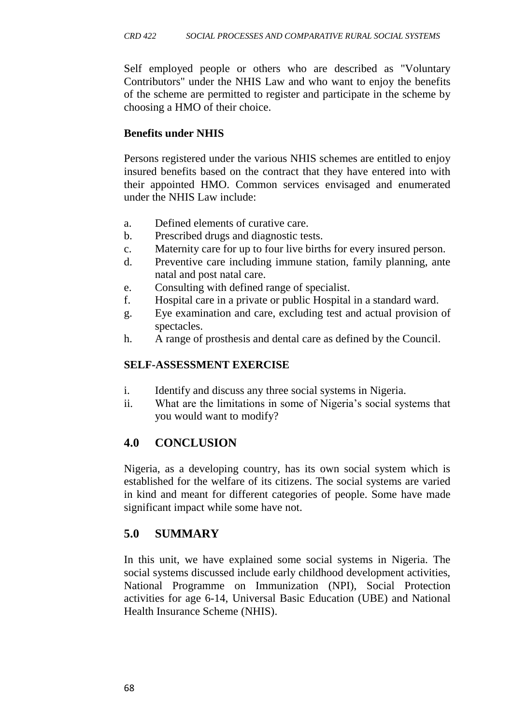Self employed people or others who are described as "Voluntary Contributors" under the NHIS Law and who want to enjoy the benefits of the scheme are permitted to register and participate in the scheme by choosing a HMO of their choice.

#### **Benefits under NHIS**

Persons registered under the various NHIS schemes are entitled to enjoy insured benefits based on the contract that they have entered into with their appointed HMO. Common services envisaged and enumerated under the NHIS Law include:

- a. Defined elements of curative care.
- b. Prescribed drugs and diagnostic tests.
- c. Maternity care for up to four live births for every insured person.
- d. Preventive care including immune station, family planning, ante natal and post natal care.
- e. Consulting with defined range of specialist.
- f. Hospital care in a private or public Hospital in a standard ward.
- g. Eye examination and care, excluding test and actual provision of spectacles.
- h. A range of prosthesis and dental care as defined by the Council.

#### **SELF-ASSESSMENT EXERCISE**

- i. Identify and discuss any three social systems in Nigeria.
- ii. What are the limitations in some of Nigeria's social systems that you would want to modify?

## **4.0 CONCLUSION**

Nigeria, as a developing country, has its own social system which is established for the welfare of its citizens. The social systems are varied in kind and meant for different categories of people. Some have made significant impact while some have not.

# **5.0 SUMMARY**

In this unit, we have explained some social systems in Nigeria. The social systems discussed include early childhood development activities, National Programme on Immunization (NPI), Social Protection activities for age 6-14, Universal Basic Education (UBE) and National Health Insurance Scheme (NHIS).